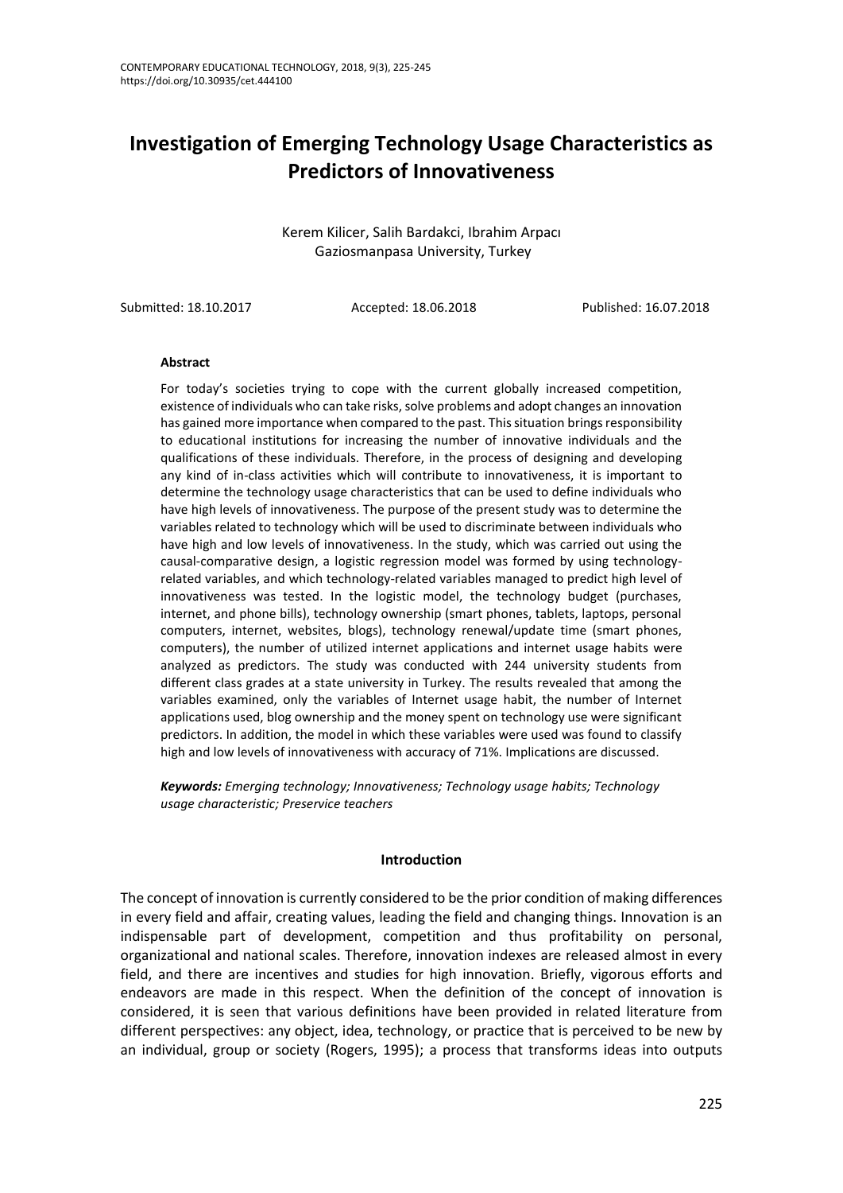# **Investigation of Emerging Technology Usage Characteristics as Predictors of Innovativeness**

Kerem Kilicer, Salih Bardakci, Ibrahim Arpacı Gaziosmanpasa University, Turkey

Submitted: 18.10.2017 Accepted: 18.06.2018 Published: 16.07.2018

#### **Abstract**

For today's societies trying to cope with the current globally increased competition, existence of individuals who can take risks, solve problems and adopt changes an innovation has gained more importance when compared to the past. This situation brings responsibility to educational institutions for increasing the number of innovative individuals and the qualifications of these individuals. Therefore, in the process of designing and developing any kind of in-class activities which will contribute to innovativeness, it is important to determine the technology usage characteristics that can be used to define individuals who have high levels of innovativeness. The purpose of the present study was to determine the variables related to technology which will be used to discriminate between individuals who have high and low levels of innovativeness. In the study, which was carried out using the causal-comparative design, a logistic regression model was formed by using technologyrelated variables, and which technology-related variables managed to predict high level of innovativeness was tested. In the logistic model, the technology budget (purchases, internet, and phone bills), technology ownership (smart phones, tablets, laptops, personal computers, internet, websites, blogs), technology renewal/update time (smart phones, computers), the number of utilized internet applications and internet usage habits were analyzed as predictors. The study was conducted with 244 university students from different class grades at a state university in Turkey. The results revealed that among the variables examined, only the variables of Internet usage habit, the number of Internet applications used, blog ownership and the money spent on technology use were significant predictors. In addition, the model in which these variables were used was found to classify high and low levels of innovativeness with accuracy of 71%. Implications are discussed.

*Keywords: Emerging technology; Innovativeness; Technology usage habits; Technology usage characteristic; Preservice teachers*

#### **Introduction**

The concept of innovation is currently considered to be the prior condition of making differences in every field and affair, creating values, leading the field and changing things. Innovation is an indispensable part of development, competition and thus profitability on personal, organizational and national scales. Therefore, innovation indexes are released almost in every field, and there are incentives and studies for high innovation. Briefly, vigorous efforts and endeavors are made in this respect. When the definition of the concept of innovation is considered, it is seen that various definitions have been provided in related literature from different perspectives: any object, idea, technology, or practice that is perceived to be new by an individual, group or society (Rogers, 1995); a process that transforms ideas into outputs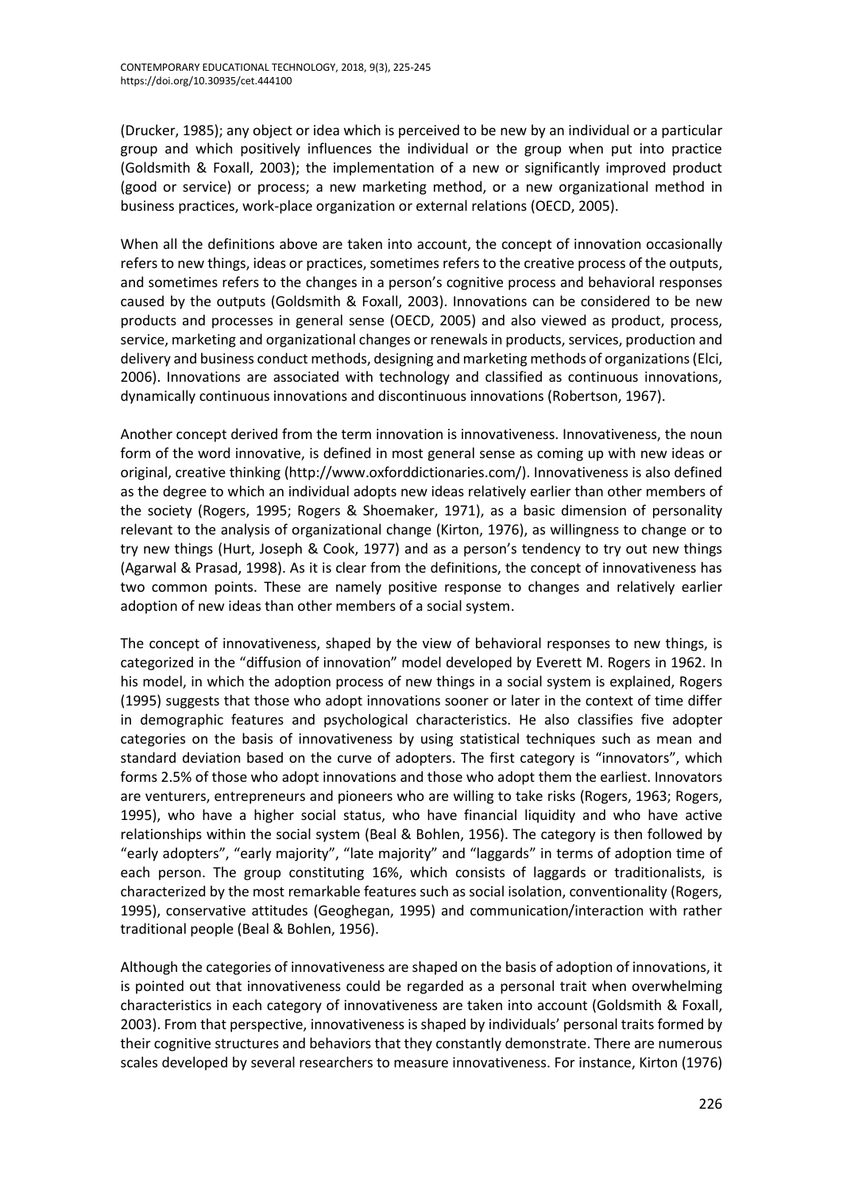(Drucker, 1985); any object or idea which is perceived to be new by an individual or a particular group and which positively influences the individual or the group when put into practice (Goldsmith & Foxall, 2003); the implementation of a new or significantly improved product (good or service) or process; a new marketing method, or a new organizational method in business practices, work-place organization or external relations (OECD, 2005).

When all the definitions above are taken into account, the concept of innovation occasionally refers to new things, ideas or practices, sometimes refers to the creative process of the outputs, and sometimes refers to the changes in a person's cognitive process and behavioral responses caused by the outputs (Goldsmith & Foxall, 2003). Innovations can be considered to be new products and processes in general sense (OECD, 2005) and also viewed as product, process, service, marketing and organizational changes or renewals in products, services, production and delivery and business conduct methods, designing and marketing methods of organizations (Elci, 2006). Innovations are associated with technology and classified as continuous innovations, dynamically continuous innovations and discontinuous innovations (Robertson, 1967).

Another concept derived from the term innovation is innovativeness. Innovativeness, the noun form of the word innovative, is defined in most general sense as coming up with new ideas or original, creative thinking (http://www.oxforddictionaries.com/). Innovativeness is also defined as the degree to which an individual adopts new ideas relatively earlier than other members of the society (Rogers, 1995; Rogers & Shoemaker, 1971), as a basic dimension of personality relevant to the analysis of organizational change (Kirton, 1976), as willingness to change or to try new things (Hurt, Joseph & Cook, 1977) and as a person's tendency to try out new things (Agarwal & Prasad, 1998). As it is clear from the definitions, the concept of innovativeness has two common points. These are namely positive response to changes and relatively earlier adoption of new ideas than other members of a social system.

The concept of innovativeness, shaped by the view of behavioral responses to new things, is categorized in the "diffusion of innovation" model developed by Everett M. Rogers in 1962. In his model, in which the adoption process of new things in a social system is explained, Rogers (1995) suggests that those who adopt innovations sooner or later in the context of time differ in demographic features and psychological characteristics. He also classifies five adopter categories on the basis of innovativeness by using statistical techniques such as mean and standard deviation based on the curve of adopters. The first category is "innovators", which forms 2.5% of those who adopt innovations and those who adopt them the earliest. Innovators are venturers, entrepreneurs and pioneers who are willing to take risks (Rogers, 1963; Rogers, 1995), who have a higher social status, who have financial liquidity and who have active relationships within the social system (Beal & Bohlen, 1956). The category is then followed by "early adopters", "early majority", "late majority" and "laggards" in terms of adoption time of each person. The group constituting 16%, which consists of laggards or traditionalists, is characterized by the most remarkable features such as social isolation, conventionality (Rogers, 1995), conservative attitudes (Geoghegan, 1995) and communication/interaction with rather traditional people (Beal & Bohlen, 1956).

Although the categories of innovativeness are shaped on the basis of adoption of innovations, it is pointed out that innovativeness could be regarded as a personal trait when overwhelming characteristics in each category of innovativeness are taken into account (Goldsmith & Foxall, 2003). From that perspective, innovativeness is shaped by individuals' personal traits formed by their cognitive structures and behaviors that they constantly demonstrate. There are numerous scales developed by several researchers to measure innovativeness. For instance, Kirton (1976)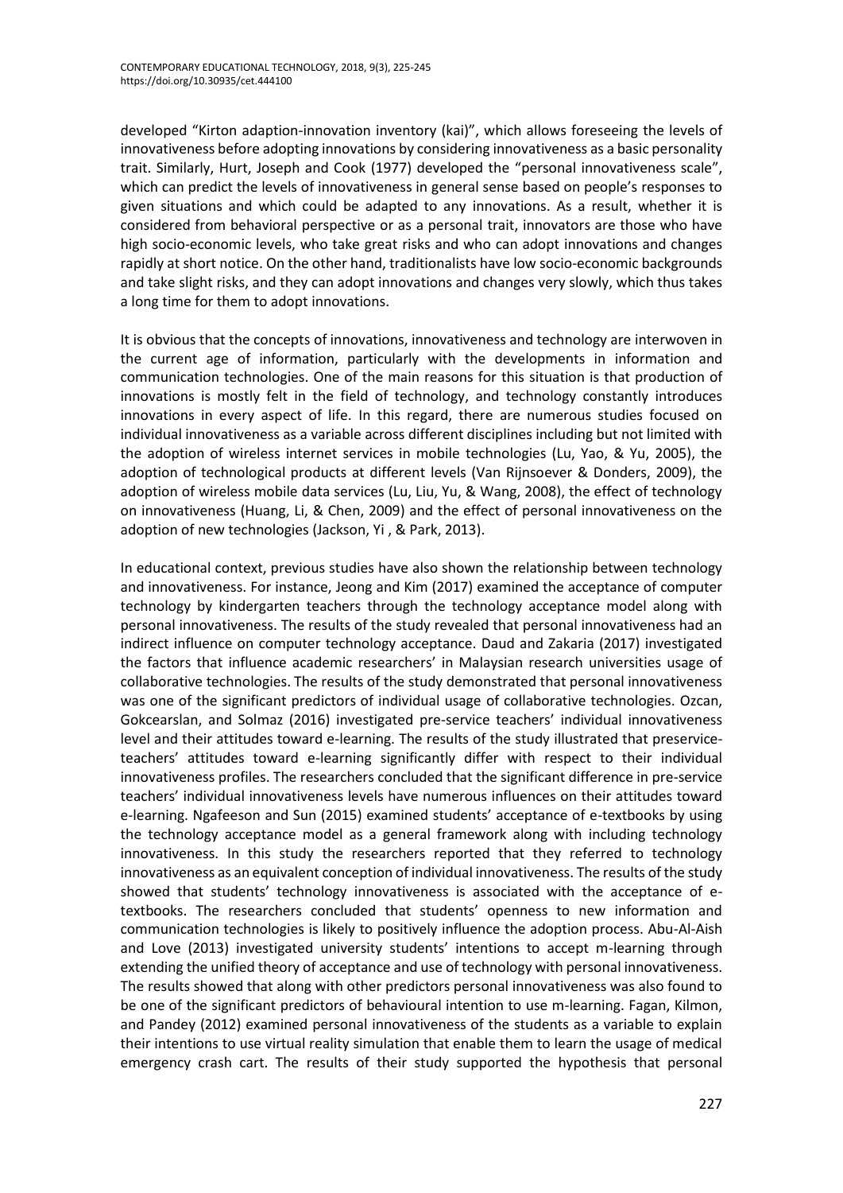developed "Kirton adaption-innovation inventory (kai)", which allows foreseeing the levels of innovativeness before adopting innovations by considering innovativeness as a basic personality trait. Similarly, Hurt, Joseph and Cook (1977) developed the "personal innovativeness scale", which can predict the levels of innovativeness in general sense based on people's responses to given situations and which could be adapted to any innovations. As a result, whether it is considered from behavioral perspective or as a personal trait, innovators are those who have high socio-economic levels, who take great risks and who can adopt innovations and changes rapidly at short notice. On the other hand, traditionalists have low socio-economic backgrounds and take slight risks, and they can adopt innovations and changes very slowly, which thus takes a long time for them to adopt innovations.

It is obvious that the concepts of innovations, innovativeness and technology are interwoven in the current age of information, particularly with the developments in information and communication technologies. One of the main reasons for this situation is that production of innovations is mostly felt in the field of technology, and technology constantly introduces innovations in every aspect of life. In this regard, there are numerous studies focused on individual innovativeness as a variable across different disciplines including but not limited with the adoption of wireless internet services in mobile technologies (Lu, Yao, & Yu, 2005), the adoption of technological products at different levels (Van Rijnsoever & Donders, 2009), the adoption of wireless mobile data services (Lu, Liu, Yu, & Wang, 2008), the effect of technology on innovativeness (Huang, Li, & Chen, 2009) and the effect of personal innovativeness on the adoption of new technologies (Jackson, Yi , & Park, 2013).

In educational context, previous studies have also shown the relationship between technology and innovativeness. For instance, Jeong and Kim (2017) examined the acceptance of computer technology by kindergarten teachers through the technology acceptance model along with personal innovativeness. The results of the study revealed that personal innovativeness had an indirect influence on computer technology acceptance. Daud and Zakaria (2017) investigated the factors that influence academic researchers' in Malaysian research universities usage of collaborative technologies. The results of the study demonstrated that personal innovativeness was one of the significant predictors of individual usage of collaborative technologies. Ozcan, Gokcearslan, and Solmaz (2016) investigated pre-service teachers' individual innovativeness level and their attitudes toward e-learning. The results of the study illustrated that preserviceteachers' attitudes toward e-learning significantly differ with respect to their individual innovativeness profiles. The researchers concluded that the significant difference in pre-service teachers' individual innovativeness levels have numerous influences on their attitudes toward e-learning. Ngafeeson and Sun (2015) examined students' acceptance of e-textbooks by using the technology acceptance model as a general framework along with including technology innovativeness. In this study the researchers reported that they referred to technology innovativeness as an equivalent conception of individual innovativeness. The results of the study showed that students' technology innovativeness is associated with the acceptance of etextbooks. The researchers concluded that students' openness to new information and communication technologies is likely to positively influence the adoption process. Abu-Al-Aish and Love (2013) investigated university students' intentions to accept m-learning through extending the unified theory of acceptance and use of technology with personal innovativeness. The results showed that along with other predictors personal innovativeness was also found to be one of the significant predictors of behavioural intention to use m-learning. Fagan, Kilmon, and Pandey (2012) examined personal innovativeness of the students as a variable to explain their intentions to use virtual reality simulation that enable them to learn the usage of medical emergency crash cart. The results of their study supported the hypothesis that personal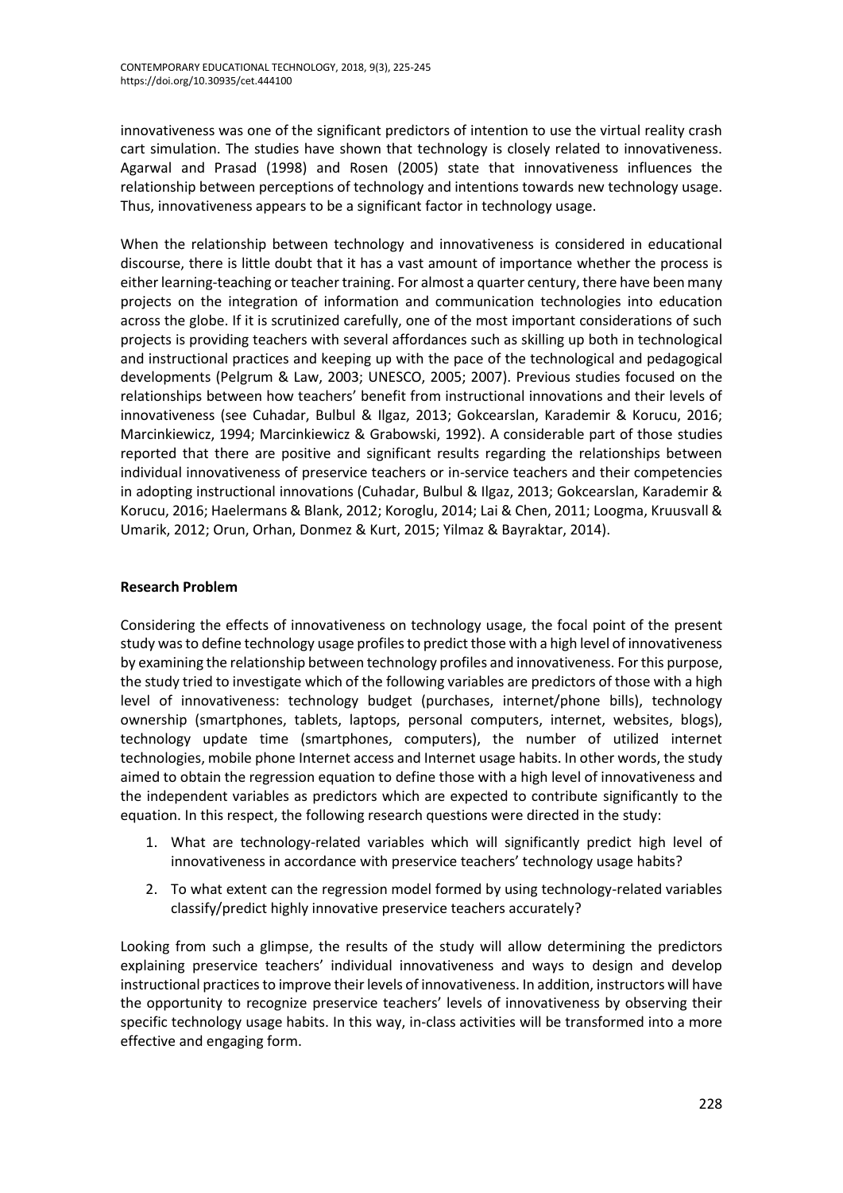innovativeness was one of the significant predictors of intention to use the virtual reality crash cart simulation. The studies have shown that technology is closely related to innovativeness. Agarwal and Prasad (1998) and Rosen (2005) state that innovativeness influences the relationship between perceptions of technology and intentions towards new technology usage. Thus, innovativeness appears to be a significant factor in technology usage.

When the relationship between technology and innovativeness is considered in educational discourse, there is little doubt that it has a vast amount of importance whether the process is either learning-teaching or teacher training. For almost a quarter century, there have been many projects on the integration of information and communication technologies into education across the globe. If it is scrutinized carefully, one of the most important considerations of such projects is providing teachers with several affordances such as skilling up both in technological and instructional practices and keeping up with the pace of the technological and pedagogical developments (Pelgrum & Law, 2003; UNESCO, 2005; 2007). Previous studies focused on the relationships between how teachers' benefit from instructional innovations and their levels of innovativeness (see Cuhadar, Bulbul & Ilgaz, 2013; Gokcearslan, Karademir & Korucu, 2016; Marcinkiewicz, 1994; Marcinkiewicz & Grabowski, 1992). A considerable part of those studies reported that there are positive and significant results regarding the relationships between individual innovativeness of preservice teachers or in-service teachers and their competencies in adopting instructional innovations (Cuhadar, Bulbul & Ilgaz, 2013; Gokcearslan, Karademir & Korucu, 2016; Haelermans & Blank, 2012; Koroglu, 2014; Lai & Chen, 2011; Loogma, Kruusvall & Umarik, 2012; Orun, Orhan, Donmez & Kurt, 2015; Yilmaz & Bayraktar, 2014).

# **Research Problem**

Considering the effects of innovativeness on technology usage, the focal point of the present study was to define technology usage profiles to predict those with a high level of innovativeness by examining the relationship between technology profiles and innovativeness. For this purpose, the study tried to investigate which of the following variables are predictors of those with a high level of innovativeness: technology budget (purchases, internet/phone bills), technology ownership (smartphones, tablets, laptops, personal computers, internet, websites, blogs), technology update time (smartphones, computers), the number of utilized internet technologies, mobile phone Internet access and Internet usage habits. In other words, the study aimed to obtain the regression equation to define those with a high level of innovativeness and the independent variables as predictors which are expected to contribute significantly to the equation. In this respect, the following research questions were directed in the study:

- 1. What are technology-related variables which will significantly predict high level of innovativeness in accordance with preservice teachers' technology usage habits?
- 2. To what extent can the regression model formed by using technology-related variables classify/predict highly innovative preservice teachers accurately?

Looking from such a glimpse, the results of the study will allow determining the predictors explaining preservice teachers' individual innovativeness and ways to design and develop instructional practices to improve their levels of innovativeness. In addition, instructors will have the opportunity to recognize preservice teachers' levels of innovativeness by observing their specific technology usage habits. In this way, in-class activities will be transformed into a more effective and engaging form.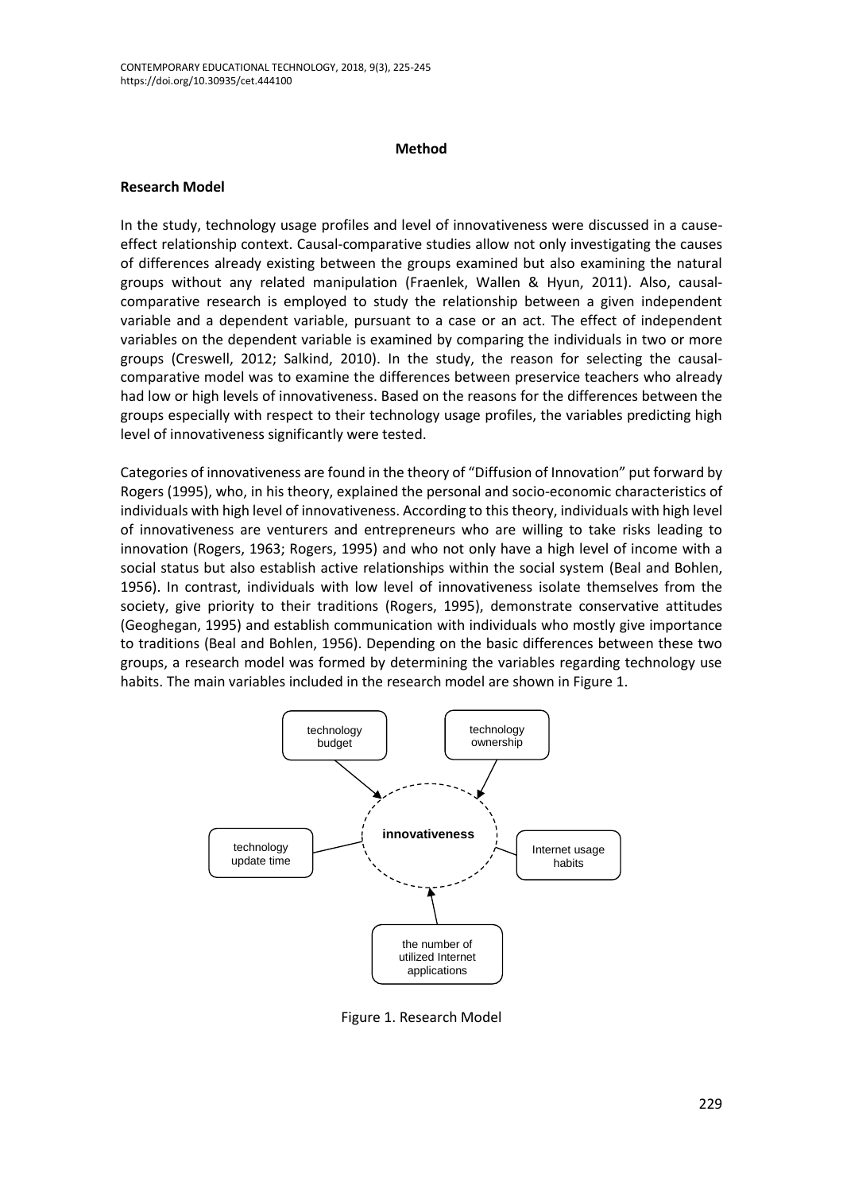#### **Method**

### **Research Model**

In the study, technology usage profiles and level of innovativeness were discussed in a causeeffect relationship context. Causal-comparative studies allow not only investigating the causes of differences already existing between the groups examined but also examining the natural groups without any related manipulation (Fraenlek, Wallen & Hyun, 2011). Also, causalcomparative research is employed to study the relationship between a given independent variable and a dependent variable, pursuant to a case or an act. The effect of independent variables on the dependent variable is examined by comparing the individuals in two or more groups (Creswell, 2012; Salkind, 2010). In the study, the reason for selecting the causalcomparative model was to examine the differences between preservice teachers who already had low or high levels of innovativeness. Based on the reasons for the differences between the groups especially with respect to their technology usage profiles, the variables predicting high level of innovativeness significantly were tested.

Categories of innovativeness are found in the theory of "Diffusion of Innovation" put forward by Rogers (1995), who, in his theory, explained the personal and socio-economic characteristics of individuals with high level of innovativeness. According to this theory, individuals with high level of innovativeness are venturers and entrepreneurs who are willing to take risks leading to innovation (Rogers, 1963; Rogers, 1995) and who not only have a high level of income with a social status but also establish active relationships within the social system (Beal and Bohlen, 1956). In contrast, individuals with low level of innovativeness isolate themselves from the society, give priority to their traditions (Rogers, 1995), demonstrate conservative attitudes (Geoghegan, 1995) and establish communication with individuals who mostly give importance to traditions (Beal and Bohlen, 1956). Depending on the basic differences between these two groups, a research model was formed by determining the variables regarding technology use habits. The main variables included in the research model are shown in Figure 1.



Figure 1. Research Model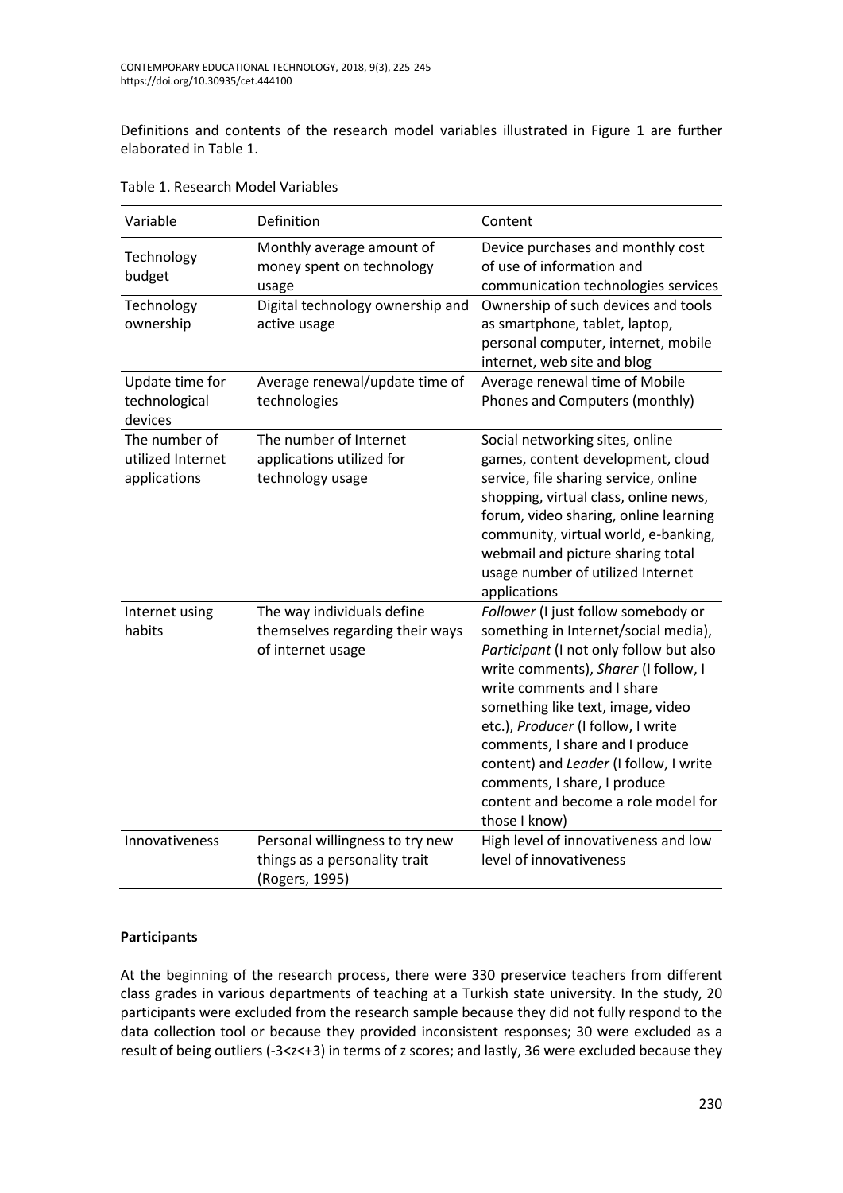Definitions and contents of the research model variables illustrated in Figure 1 are further elaborated in Table 1.

| Variable                                           | Definition                                                                         | Content                                                                                                                                                                                                                                                                                                                                                                                                                                      |
|----------------------------------------------------|------------------------------------------------------------------------------------|----------------------------------------------------------------------------------------------------------------------------------------------------------------------------------------------------------------------------------------------------------------------------------------------------------------------------------------------------------------------------------------------------------------------------------------------|
| Technology<br>budget                               | Monthly average amount of<br>money spent on technology<br>usage                    | Device purchases and monthly cost<br>of use of information and<br>communication technologies services                                                                                                                                                                                                                                                                                                                                        |
| Technology<br>ownership                            | Digital technology ownership and<br>active usage                                   | Ownership of such devices and tools<br>as smartphone, tablet, laptop,<br>personal computer, internet, mobile<br>internet, web site and blog                                                                                                                                                                                                                                                                                                  |
| Update time for<br>technological<br>devices        | Average renewal/update time of<br>technologies                                     | Average renewal time of Mobile<br>Phones and Computers (monthly)                                                                                                                                                                                                                                                                                                                                                                             |
| The number of<br>utilized Internet<br>applications | The number of Internet<br>applications utilized for<br>technology usage            | Social networking sites, online<br>games, content development, cloud<br>service, file sharing service, online<br>shopping, virtual class, online news,<br>forum, video sharing, online learning<br>community, virtual world, e-banking,<br>webmail and picture sharing total<br>usage number of utilized Internet<br>applications                                                                                                            |
| Internet using<br>habits                           | The way individuals define<br>themselves regarding their ways<br>of internet usage | Follower (I just follow somebody or<br>something in Internet/social media),<br>Participant (I not only follow but also<br>write comments), Sharer (I follow, I<br>write comments and I share<br>something like text, image, video<br>etc.), Producer (I follow, I write<br>comments, I share and I produce<br>content) and Leader (I follow, I write<br>comments, I share, I produce<br>content and become a role model for<br>those I know) |
| Innovativeness                                     | Personal willingness to try new<br>things as a personality trait<br>(Rogers, 1995) | High level of innovativeness and low<br>level of innovativeness                                                                                                                                                                                                                                                                                                                                                                              |

|  | Table 1. Research Model Variables |  |  |
|--|-----------------------------------|--|--|
|--|-----------------------------------|--|--|

# **Participants**

At the beginning of the research process, there were 330 preservice teachers from different class grades in various departments of teaching at a Turkish state university. In the study, 20 participants were excluded from the research sample because they did not fully respond to the data collection tool or because they provided inconsistent responses; 30 were excluded as a result of being outliers (-3<z<+3) in terms of z scores; and lastly, 36 were excluded because they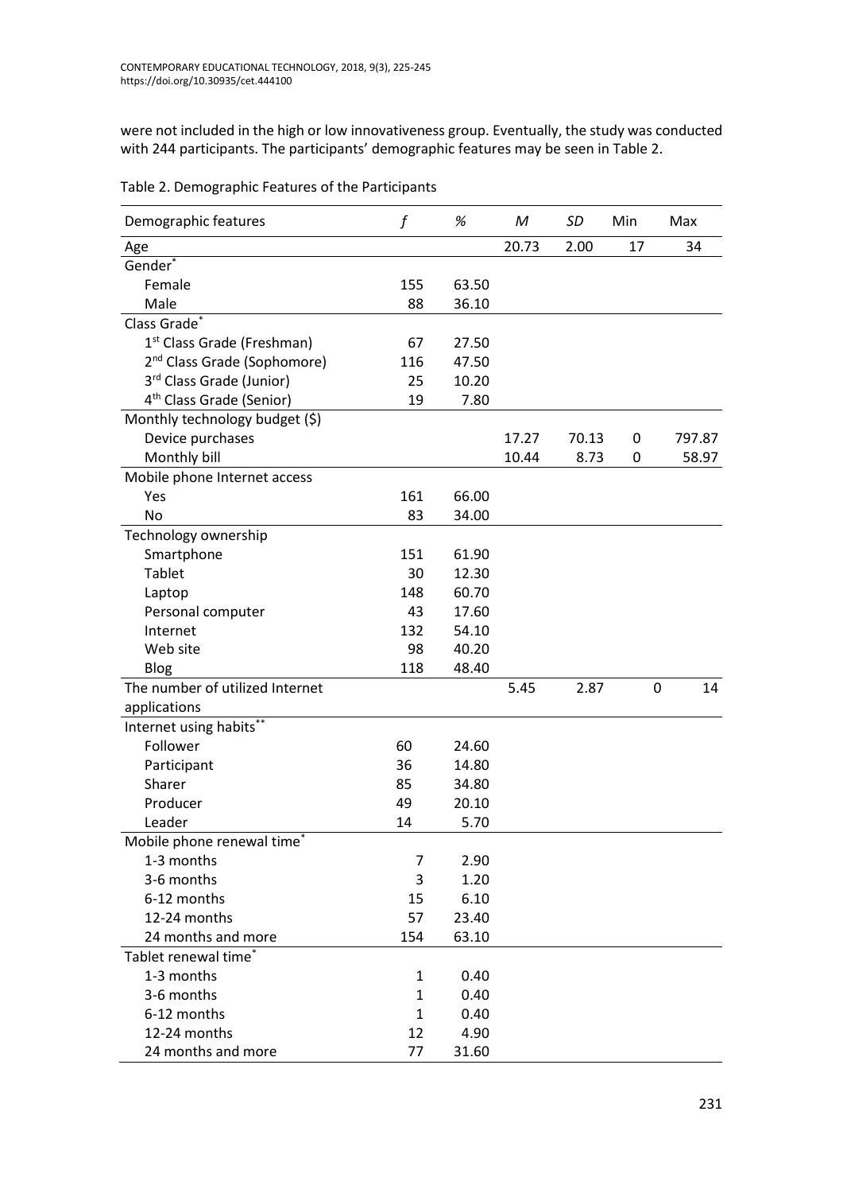were not included in the high or low innovativeness group. Eventually, the study was conducted with 244 participants. The participants' demographic features may be seen in Table 2.

| Demographic features                    | f            | $\%$  | M     | SD    | Min              | Max    |
|-----------------------------------------|--------------|-------|-------|-------|------------------|--------|
| Age                                     |              |       | 20.73 | 2.00  | 17               | 34     |
| Gender*                                 |              |       |       |       |                  |        |
| Female                                  | 155          | 63.50 |       |       |                  |        |
| Male                                    | 88           | 36.10 |       |       |                  |        |
| Class Grade*                            |              |       |       |       |                  |        |
| 1 <sup>st</sup> Class Grade (Freshman)  | 67           | 27.50 |       |       |                  |        |
| 2 <sup>nd</sup> Class Grade (Sophomore) | 116          | 47.50 |       |       |                  |        |
| 3rd Class Grade (Junior)                | 25           | 10.20 |       |       |                  |        |
| 4 <sup>th</sup> Class Grade (Senior)    | 19           | 7.80  |       |       |                  |        |
| Monthly technology budget (\$)          |              |       |       |       |                  |        |
| Device purchases                        |              |       | 17.27 | 70.13 | $\boldsymbol{0}$ | 797.87 |
| Monthly bill                            |              |       | 10.44 | 8.73  | 0                | 58.97  |
| Mobile phone Internet access            |              |       |       |       |                  |        |
| Yes                                     | 161          | 66.00 |       |       |                  |        |
| No                                      | 83           | 34.00 |       |       |                  |        |
| Technology ownership                    |              |       |       |       |                  |        |
| Smartphone                              | 151          | 61.90 |       |       |                  |        |
| Tablet                                  | 30           | 12.30 |       |       |                  |        |
| Laptop                                  | 148          | 60.70 |       |       |                  |        |
| Personal computer                       | 43           | 17.60 |       |       |                  |        |
| Internet                                | 132          | 54.10 |       |       |                  |        |
| Web site                                | 98           | 40.20 |       |       |                  |        |
| Blog                                    | 118          | 48.40 |       |       |                  |        |
| The number of utilized Internet         |              |       | 5.45  | 2.87  | $\mathbf 0$      | 14     |
| applications                            |              |       |       |       |                  |        |
| Internet using habits*                  |              |       |       |       |                  |        |
| Follower                                | 60           | 24.60 |       |       |                  |        |
| Participant                             | 36           | 14.80 |       |       |                  |        |
| Sharer                                  | 85           | 34.80 |       |       |                  |        |
| Producer                                | 49           | 20.10 |       |       |                  |        |
| Leader                                  | 14           | 5.70  |       |       |                  |        |
| Mobile phone renewal time <sup>*</sup>  |              |       |       |       |                  |        |
| 1-3 months                              | 7            | 2.90  |       |       |                  |        |
| 3-6 months                              | 3            | 1.20  |       |       |                  |        |
| 6-12 months                             | 15           | 6.10  |       |       |                  |        |
| 12-24 months                            | 57           | 23.40 |       |       |                  |        |
| 24 months and more                      | 154          | 63.10 |       |       |                  |        |
| Tablet renewal time <sup>*</sup>        |              |       |       |       |                  |        |
| 1-3 months                              | $\mathbf{1}$ | 0.40  |       |       |                  |        |
| 3-6 months                              | $\mathbf{1}$ | 0.40  |       |       |                  |        |
| 6-12 months                             | $\mathbf{1}$ | 0.40  |       |       |                  |        |
| 12-24 months                            | 12           | 4.90  |       |       |                  |        |
| 24 months and more                      | 77           | 31.60 |       |       |                  |        |

Table 2. Demographic Features of the Participants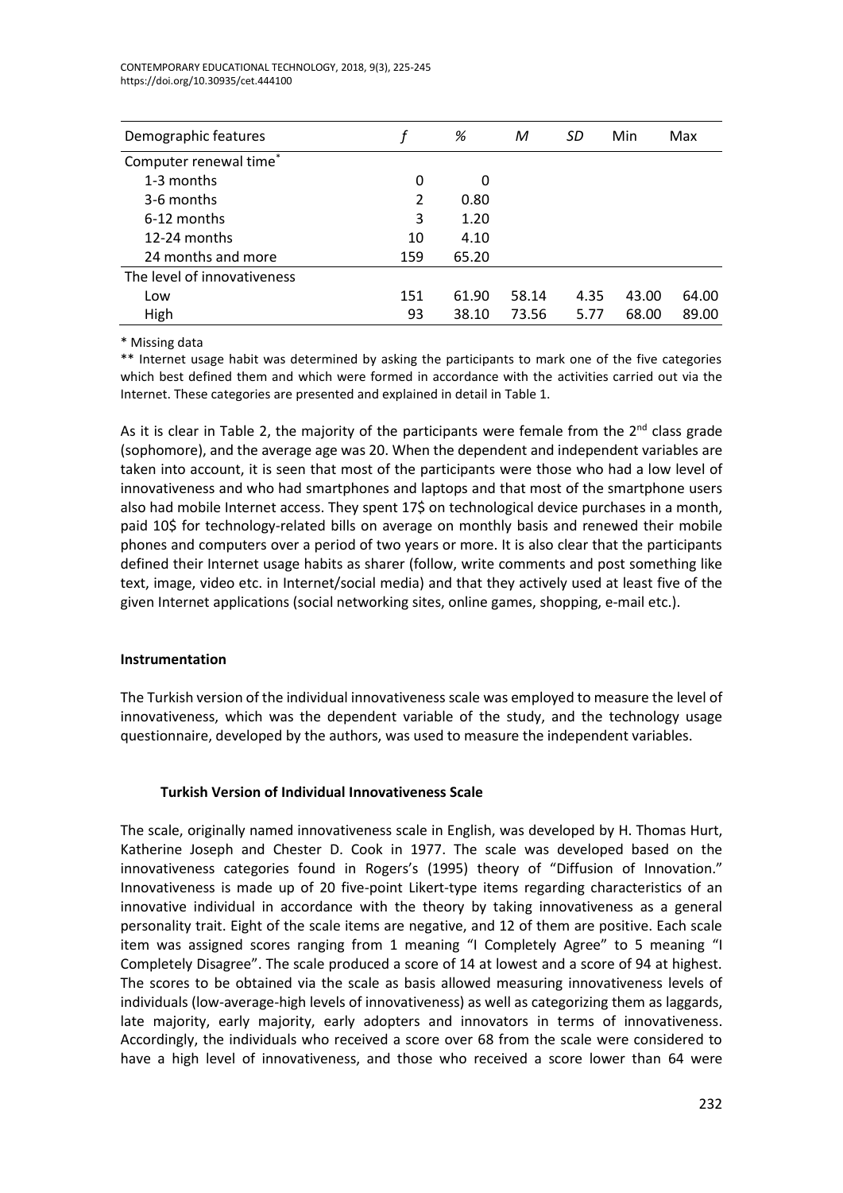| Demographic features        |     | %     | М     | SD   | Min   | Max   |
|-----------------------------|-----|-------|-------|------|-------|-------|
| Computer renewal time*      |     |       |       |      |       |       |
| 1-3 months                  | 0   | 0     |       |      |       |       |
| 3-6 months                  | 2   | 0.80  |       |      |       |       |
| 6-12 months                 | 3   | 1.20  |       |      |       |       |
| 12-24 months                | 10  | 4.10  |       |      |       |       |
| 24 months and more          | 159 | 65.20 |       |      |       |       |
| The level of innovativeness |     |       |       |      |       |       |
| Low                         | 151 | 61.90 | 58.14 | 4.35 | 43.00 | 64.00 |
| High                        | 93  | 38.10 | 73.56 | 5.77 | 68.00 | 89.00 |

\* Missing data

\*\* Internet usage habit was determined by asking the participants to mark one of the five categories which best defined them and which were formed in accordance with the activities carried out via the Internet. These categories are presented and explained in detail in Table 1.

As it is clear in Table 2, the majority of the participants were female from the  $2^{nd}$  class grade (sophomore), and the average age was 20. When the dependent and independent variables are taken into account, it is seen that most of the participants were those who had a low level of innovativeness and who had smartphones and laptops and that most of the smartphone users also had mobile Internet access. They spent 17\$ on technological device purchases in a month, paid 10\$ for technology-related bills on average on monthly basis and renewed their mobile phones and computers over a period of two years or more. It is also clear that the participants defined their Internet usage habits as sharer (follow, write comments and post something like text, image, video etc. in Internet/social media) and that they actively used at least five of the given Internet applications (social networking sites, online games, shopping, e-mail etc.).

# **Instrumentation**

The Turkish version of the individual innovativeness scale was employed to measure the level of innovativeness, which was the dependent variable of the study, and the technology usage questionnaire, developed by the authors, was used to measure the independent variables.

# **Turkish Version of Individual Innovativeness Scale**

The scale, originally named innovativeness scale in English, was developed by H. Thomas Hurt, Katherine Joseph and Chester D. Cook in 1977. The scale was developed based on the innovativeness categories found in Rogers's (1995) theory of "Diffusion of Innovation." Innovativeness is made up of 20 five-point Likert-type items regarding characteristics of an innovative individual in accordance with the theory by taking innovativeness as a general personality trait. Eight of the scale items are negative, and 12 of them are positive. Each scale item was assigned scores ranging from 1 meaning "I Completely Agree" to 5 meaning "I Completely Disagree". The scale produced a score of 14 at lowest and a score of 94 at highest. The scores to be obtained via the scale as basis allowed measuring innovativeness levels of individuals (low-average-high levels of innovativeness) as well as categorizing them as laggards, late majority, early majority, early adopters and innovators in terms of innovativeness. Accordingly, the individuals who received a score over 68 from the scale were considered to have a high level of innovativeness, and those who received a score lower than 64 were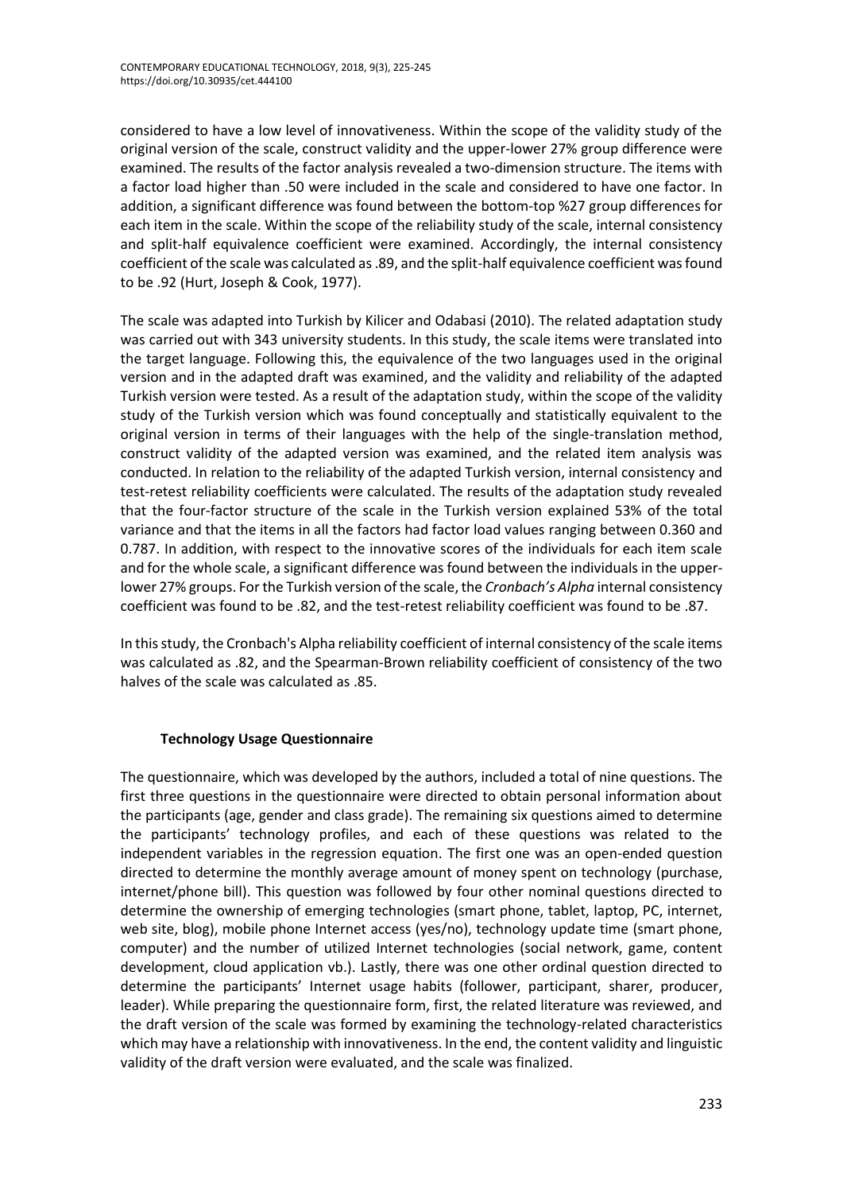considered to have a low level of innovativeness. Within the scope of the validity study of the original version of the scale, construct validity and the upper-lower 27% group difference were examined. The results of the factor analysis revealed a two-dimension structure. The items with a factor load higher than .50 were included in the scale and considered to have one factor. In addition, a significant difference was found between the bottom-top %27 group differences for each item in the scale. Within the scope of the reliability study of the scale, internal consistency and split-half equivalence coefficient were examined. Accordingly, the internal consistency coefficient of the scale was calculated as .89, and the split-half equivalence coefficient was found to be .92 (Hurt, Joseph & Cook, 1977).

The scale was adapted into Turkish by Kilicer and Odabasi (2010). The related adaptation study was carried out with 343 university students. In this study, the scale items were translated into the target language. Following this, the equivalence of the two languages used in the original version and in the adapted draft was examined, and the validity and reliability of the adapted Turkish version were tested. As a result of the adaptation study, within the scope of the validity study of the Turkish version which was found conceptually and statistically equivalent to the original version in terms of their languages with the help of the single-translation method, construct validity of the adapted version was examined, and the related item analysis was conducted. In relation to the reliability of the adapted Turkish version, internal consistency and test-retest reliability coefficients were calculated. The results of the adaptation study revealed that the four-factor structure of the scale in the Turkish version explained 53% of the total variance and that the items in all the factors had factor load values ranging between 0.360 and 0.787. In addition, with respect to the innovative scores of the individuals for each item scale and for the whole scale, a significant difference was found between the individuals in the upperlower 27% groups. For the Turkish version of the scale, the *Cronbach's Alpha* internal consistency coefficient was found to be .82, and the test-retest reliability coefficient was found to be .87.

In this study, the Cronbach's Alpha reliability coefficient of internal consistency of the scale items was calculated as .82, and the Spearman-Brown reliability coefficient of consistency of the two halves of the scale was calculated as .85.

# **Technology Usage Questionnaire**

The questionnaire, which was developed by the authors, included a total of nine questions. The first three questions in the questionnaire were directed to obtain personal information about the participants (age, gender and class grade). The remaining six questions aimed to determine the participants' technology profiles, and each of these questions was related to the independent variables in the regression equation. The first one was an open-ended question directed to determine the monthly average amount of money spent on technology (purchase, internet/phone bill). This question was followed by four other nominal questions directed to determine the ownership of emerging technologies (smart phone, tablet, laptop, PC, internet, web site, blog), mobile phone Internet access (yes/no), technology update time (smart phone, computer) and the number of utilized Internet technologies (social network, game, content development, cloud application vb.). Lastly, there was one other ordinal question directed to determine the participants' Internet usage habits (follower, participant, sharer, producer, leader). While preparing the questionnaire form, first, the related literature was reviewed, and the draft version of the scale was formed by examining the technology-related characteristics which may have a relationship with innovativeness. In the end, the content validity and linguistic validity of the draft version were evaluated, and the scale was finalized.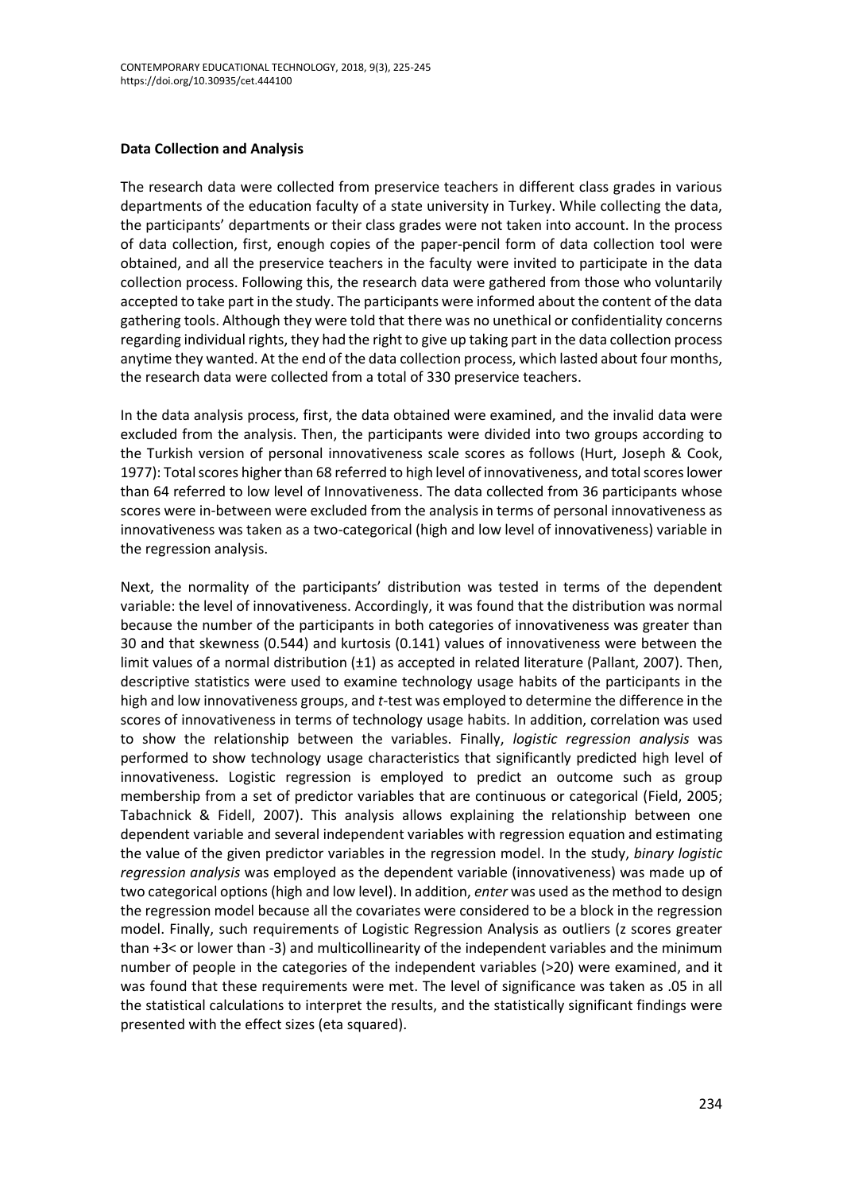### **Data Collection and Analysis**

The research data were collected from preservice teachers in different class grades in various departments of the education faculty of a state university in Turkey. While collecting the data, the participants' departments or their class grades were not taken into account. In the process of data collection, first, enough copies of the paper-pencil form of data collection tool were obtained, and all the preservice teachers in the faculty were invited to participate in the data collection process. Following this, the research data were gathered from those who voluntarily accepted to take part in the study. The participants were informed about the content of the data gathering tools. Although they were told that there was no unethical or confidentiality concerns regarding individual rights, they had the right to give up taking part in the data collection process anytime they wanted. At the end of the data collection process, which lasted about four months, the research data were collected from a total of 330 preservice teachers.

In the data analysis process, first, the data obtained were examined, and the invalid data were excluded from the analysis. Then, the participants were divided into two groups according to the Turkish version of personal innovativeness scale scores as follows (Hurt, Joseph & Cook, 1977): Total scores higher than 68 referred to high level of innovativeness, and total scoreslower than 64 referred to low level of Innovativeness. The data collected from 36 participants whose scores were in-between were excluded from the analysis in terms of personal innovativeness as innovativeness was taken as a two-categorical (high and low level of innovativeness) variable in the regression analysis.

Next, the normality of the participants' distribution was tested in terms of the dependent variable: the level of innovativeness. Accordingly, it was found that the distribution was normal because the number of the participants in both categories of innovativeness was greater than 30 and that skewness (0.544) and kurtosis (0.141) values of innovativeness were between the limit values of a normal distribution  $(\pm 1)$  as accepted in related literature (Pallant, 2007). Then, descriptive statistics were used to examine technology usage habits of the participants in the high and low innovativeness groups, and *t*-test was employed to determine the difference in the scores of innovativeness in terms of technology usage habits. In addition, correlation was used to show the relationship between the variables. Finally, *logistic regression analysis* was performed to show technology usage characteristics that significantly predicted high level of innovativeness. Logistic regression is employed to predict an outcome such as group membership from a set of predictor variables that are continuous or categorical (Field, 2005; Tabachnick & Fidell, 2007). This analysis allows explaining the relationship between one dependent variable and several independent variables with regression equation and estimating the value of the given predictor variables in the regression model. In the study, *binary logistic regression analysis* was employed as the dependent variable (innovativeness) was made up of two categorical options (high and low level). In addition, *enter* was used as the method to design the regression model because all the covariates were considered to be a block in the regression model. Finally, such requirements of Logistic Regression Analysis as outliers (z scores greater than +3< or lower than -3) and multicollinearity of the independent variables and the minimum number of people in the categories of the independent variables (>20) were examined, and it was found that these requirements were met. The level of significance was taken as .05 in all the statistical calculations to interpret the results, and the statistically significant findings were presented with the effect sizes (eta squared).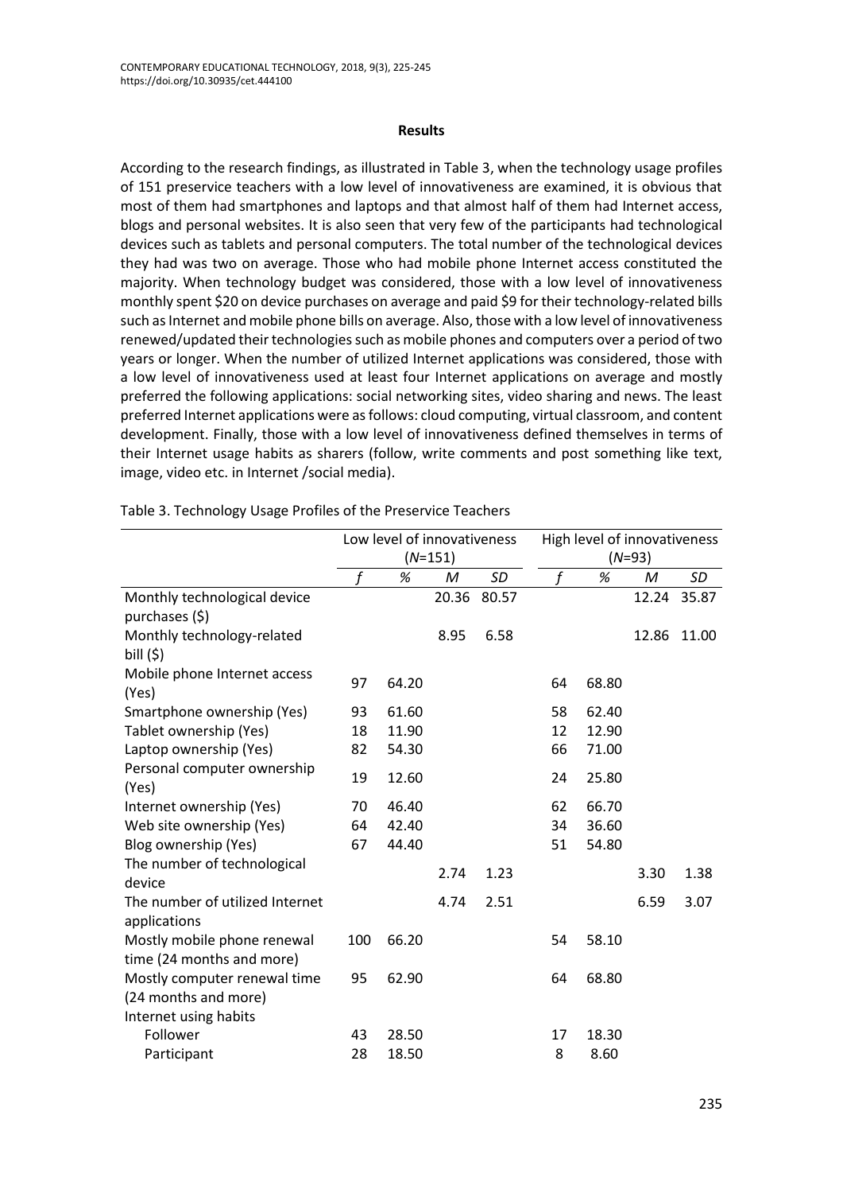### **Results**

According to the research findings, as illustrated in Table 3, when the technology usage profiles of 151 preservice teachers with a low level of innovativeness are examined, it is obvious that most of them had smartphones and laptops and that almost half of them had Internet access, blogs and personal websites. It is also seen that very few of the participants had technological devices such as tablets and personal computers. The total number of the technological devices they had was two on average. Those who had mobile phone Internet access constituted the majority. When technology budget was considered, those with a low level of innovativeness monthly spent \$20 on device purchases on average and paid \$9 for their technology-related bills such as Internet and mobile phone bills on average. Also, those with a low level of innovativeness renewed/updated their technologies such as mobile phones and computers over a period of two years or longer. When the number of utilized Internet applications was considered, those with a low level of innovativeness used at least four Internet applications on average and mostly preferred the following applications: social networking sites, video sharing and news. The least preferred Internet applications were as follows: cloud computing, virtual classroom, and content development. Finally, those with a low level of innovativeness defined themselves in terms of their Internet usage habits as sharers (follow, write comments and post something like text, image, video etc. in Internet /social media).

|                                                          | Low level of innovativeness<br>$(N=151)$ |       |       | High level of innovativeness |          |       |       |       |
|----------------------------------------------------------|------------------------------------------|-------|-------|------------------------------|----------|-------|-------|-------|
|                                                          |                                          |       |       |                              | $(N=93)$ |       |       |       |
|                                                          | f                                        | %     | M     | SD                           |          | %     | M     | SD    |
| Monthly technological device<br>purchases (\$)           |                                          |       | 20.36 | 80.57                        |          |       | 12.24 | 35.87 |
| Monthly technology-related<br>bill $(5)$                 |                                          |       | 8.95  | 6.58                         |          |       | 12.86 | 11.00 |
| Mobile phone Internet access<br>(Yes)                    | 97                                       | 64.20 |       |                              | 64       | 68.80 |       |       |
| Smartphone ownership (Yes)                               | 93                                       | 61.60 |       |                              | 58       | 62.40 |       |       |
| Tablet ownership (Yes)                                   | 18                                       | 11.90 |       |                              | 12       | 12.90 |       |       |
| Laptop ownership (Yes)                                   | 82                                       | 54.30 |       |                              | 66       | 71.00 |       |       |
| Personal computer ownership<br>(Yes)                     | 19                                       | 12.60 |       |                              | 24       | 25.80 |       |       |
| Internet ownership (Yes)                                 | 70                                       | 46.40 |       |                              | 62       | 66.70 |       |       |
| Web site ownership (Yes)                                 | 64                                       | 42.40 |       |                              | 34       | 36.60 |       |       |
| Blog ownership (Yes)                                     | 67                                       | 44.40 |       |                              | 51       | 54.80 |       |       |
| The number of technological<br>device                    |                                          |       | 2.74  | 1.23                         |          |       | 3.30  | 1.38  |
| The number of utilized Internet                          |                                          |       | 4.74  | 2.51                         |          |       | 6.59  | 3.07  |
| applications                                             |                                          |       |       |                              |          |       |       |       |
| Mostly mobile phone renewal<br>time (24 months and more) | 100                                      | 66.20 |       |                              | 54       | 58.10 |       |       |
| Mostly computer renewal time                             | 95                                       | 62.90 |       |                              | 64       | 68.80 |       |       |
| (24 months and more)                                     |                                          |       |       |                              |          |       |       |       |
| Internet using habits                                    |                                          |       |       |                              |          |       |       |       |
| Follower                                                 | 43                                       | 28.50 |       |                              | 17       | 18.30 |       |       |
| Participant                                              | 28                                       | 18.50 |       |                              | 8        | 8.60  |       |       |

Table 3. Technology Usage Profiles of the Preservice Teachers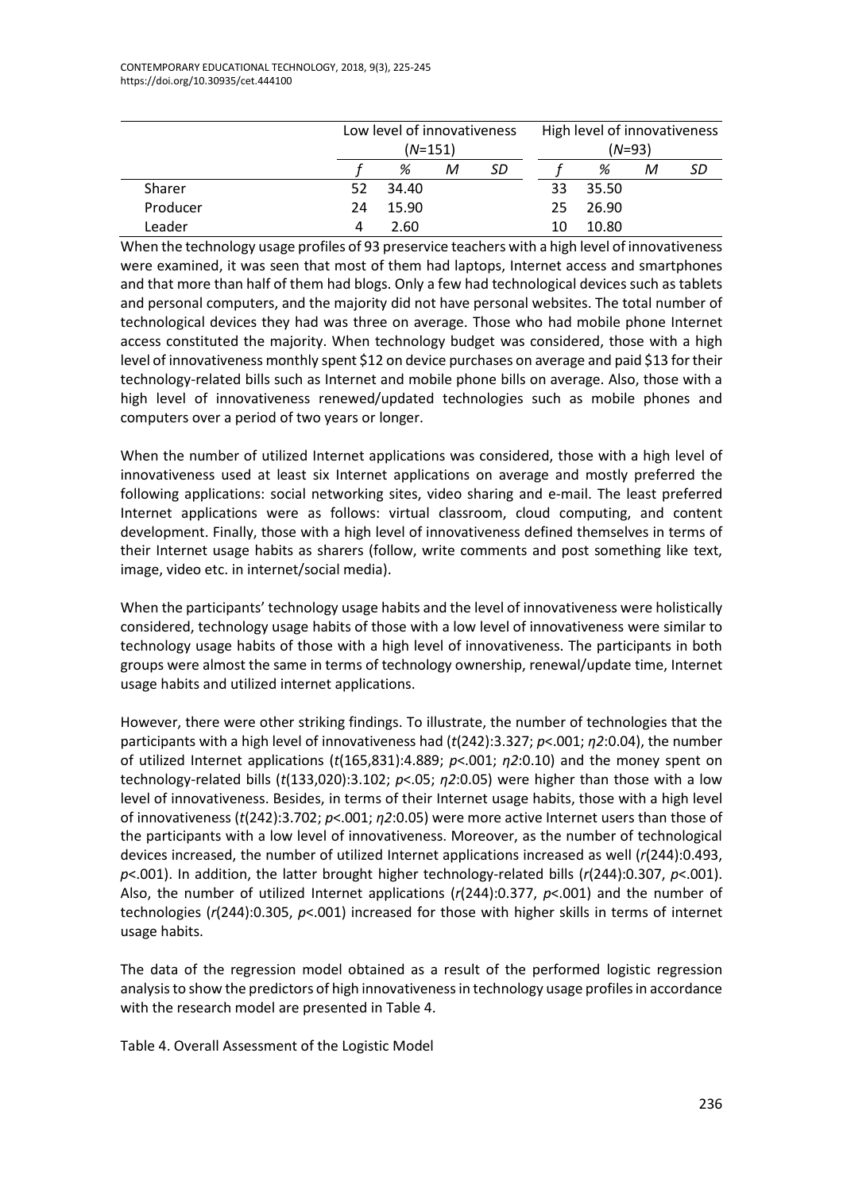|          |    | Low level of innovativeness |   |    | High level of innovativeness |          |   |    |
|----------|----|-----------------------------|---|----|------------------------------|----------|---|----|
|          |    | $(N=151)$                   |   |    |                              | $(N=93)$ |   |    |
|          |    | %                           | М | SD |                              | %        | м | SD |
| Sharer   | 52 | 34.40                       |   |    | 33                           | 35.50    |   |    |
| Producer | 24 | 15.90                       |   |    | 25                           | 26.90    |   |    |
| Leader   |    | 2.60                        |   |    | 10                           | 10.80    |   |    |

When the technology usage profiles of 93 preservice teachers with a high level of innovativeness were examined, it was seen that most of them had laptops, Internet access and smartphones and that more than half of them had blogs. Only a few had technological devices such as tablets and personal computers, and the majority did not have personal websites. The total number of technological devices they had was three on average. Those who had mobile phone Internet access constituted the majority. When technology budget was considered, those with a high level of innovativeness monthly spent \$12 on device purchases on average and paid \$13 for their technology-related bills such as Internet and mobile phone bills on average. Also, those with a high level of innovativeness renewed/updated technologies such as mobile phones and computers over a period of two years or longer.

When the number of utilized Internet applications was considered, those with a high level of innovativeness used at least six Internet applications on average and mostly preferred the following applications: social networking sites, video sharing and e-mail. The least preferred Internet applications were as follows: virtual classroom, cloud computing, and content development. Finally, those with a high level of innovativeness defined themselves in terms of their Internet usage habits as sharers (follow, write comments and post something like text, image, video etc. in internet/social media).

When the participants' technology usage habits and the level of innovativeness were holistically considered, technology usage habits of those with a low level of innovativeness were similar to technology usage habits of those with a high level of innovativeness. The participants in both groups were almost the same in terms of technology ownership, renewal/update time, Internet usage habits and utilized internet applications.

However, there were other striking findings. To illustrate, the number of technologies that the participants with a high level of innovativeness had (*t*(242):3.327; *p*<.001; *η2*:0.04), the number of utilized Internet applications (*t*(165,831):4.889; *p*<.001; *η2*:0.10) and the money spent on technology-related bills (*t*(133,020):3.102; *p*<.05; *η2*:0.05) were higher than those with a low level of innovativeness. Besides, in terms of their Internet usage habits, those with a high level of innovativeness (*t*(242):3.702; *p*<.001; *η2*:0.05) were more active Internet users than those of the participants with a low level of innovativeness. Moreover, as the number of technological devices increased, the number of utilized Internet applications increased as well (*r*(244):0.493, *p*<.001). In addition, the latter brought higher technology-related bills (*r*(244):0.307, *p*<.001). Also, the number of utilized Internet applications (*r*(244):0.377, *p*<.001) and the number of technologies (*r*(244):0.305, *p*<.001) increased for those with higher skills in terms of internet usage habits.

The data of the regression model obtained as a result of the performed logistic regression analysis to show the predictors of high innovativeness in technology usage profiles in accordance with the research model are presented in Table 4.

Table 4. Overall Assessment of the Logistic Model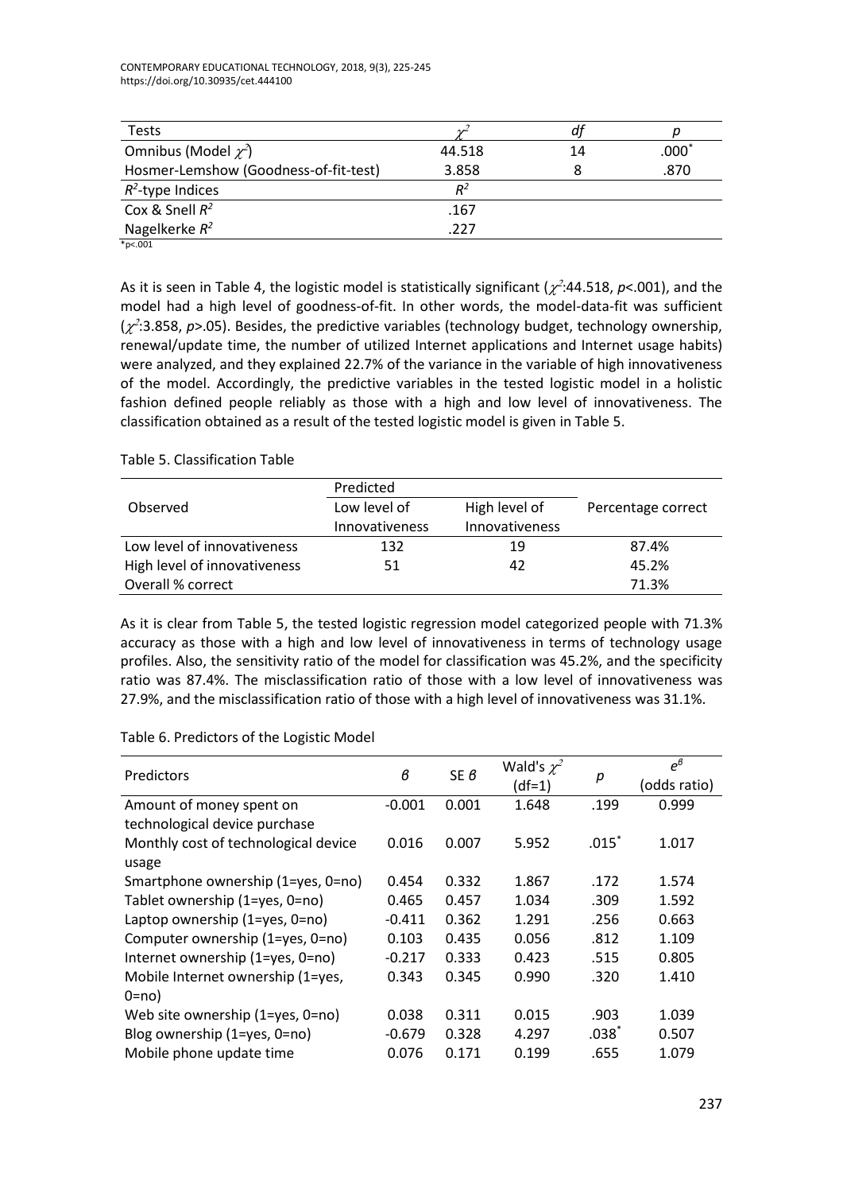CONTEMPORARY EDUCATIONAL TECHNOLOGY, 2018, 9(3), 225-245 https://doi.org/10.30935/cet.444100

| <b>Tests</b>                          |        |    |                  |
|---------------------------------------|--------|----|------------------|
| Omnibus (Model $\chi^2$ )             | 44.518 | 14 | $.000^{\degree}$ |
| Hosmer-Lemshow (Goodness-of-fit-test) | 3.858  |    | .870             |
| $R^2$ -type Indices                   | $R^2$  |    |                  |
| Cox & Snell $R^2$                     | .167   |    |                  |
| Nagelkerke $R^2$                      | .227   |    |                  |

\*p<.001

As it is seen in Table 4, the logistic model is statistically significant ( $\chi^2$ :44.518, p<.001), and the model had a high level of goodness-of-fit. In other words, the model-data-fit was sufficient  $(x^2:3.858, p>0.05)$ . Besides, the predictive variables (technology budget, technology ownership, renewal/update time, the number of utilized Internet applications and Internet usage habits) were analyzed, and they explained 22.7% of the variance in the variable of high innovativeness of the model. Accordingly, the predictive variables in the tested logistic model in a holistic fashion defined people reliably as those with a high and low level of innovativeness. The classification obtained as a result of the tested logistic model is given in Table 5.

# Table 5. Classification Table

|                              | Predicted             |                |                    |
|------------------------------|-----------------------|----------------|--------------------|
| Observed                     | Low level of          | High level of  | Percentage correct |
|                              | <b>Innovativeness</b> | Innovativeness |                    |
| Low level of innovativeness  | 132                   | 19             | 87.4%              |
| High level of innovativeness | 51                    | 42             | 45.2%              |
| Overall % correct            |                       |                | 71.3%              |

As it is clear from Table 5, the tested logistic regression model categorized people with 71.3% accuracy as those with a high and low level of innovativeness in terms of technology usage profiles. Also, the sensitivity ratio of the model for classification was 45.2%, and the specificity ratio was 87.4%. The misclassification ratio of those with a low level of innovativeness was 27.9%, and the misclassification ratio of those with a high level of innovativeness was 31.1%.

# Table 6. Predictors of the Logistic Model

| Predictors                           | $\boldsymbol{\beta}$ | SE $6$ | Wald's $\chi^2$<br>$(df=1)$ | р       | $e^{\theta}$<br>(odds ratio) |
|--------------------------------------|----------------------|--------|-----------------------------|---------|------------------------------|
|                                      | $-0.001$             | 0.001  | 1.648                       | .199    | 0.999                        |
| Amount of money spent on             |                      |        |                             |         |                              |
| technological device purchase        |                      |        |                             |         |                              |
| Monthly cost of technological device | 0.016                | 0.007  | 5.952                       | $.015*$ | 1.017                        |
| usage                                |                      |        |                             |         |                              |
| Smartphone ownership (1=yes, 0=no)   | 0.454                | 0.332  | 1.867                       | .172    | 1.574                        |
| Tablet ownership (1=yes, 0=no)       | 0.465                | 0.457  | 1.034                       | .309    | 1.592                        |
| Laptop ownership (1=yes, 0=no)       | $-0.411$             | 0.362  | 1.291                       | .256    | 0.663                        |
| Computer ownership (1=yes, 0=no)     | 0.103                | 0.435  | 0.056                       | .812    | 1.109                        |
| Internet ownership (1=yes, 0=no)     | $-0.217$             | 0.333  | 0.423                       | .515    | 0.805                        |
| Mobile Internet ownership (1=yes,    | 0.343                | 0.345  | 0.990                       | .320    | 1.410                        |
| $0 = no$                             |                      |        |                             |         |                              |
| Web site ownership (1=yes, 0=no)     | 0.038                | 0.311  | 0.015                       | .903    | 1.039                        |
| Blog ownership (1=yes, 0=no)         | $-0.679$             | 0.328  | 4.297                       | $.038*$ | 0.507                        |
| Mobile phone update time             | 0.076                | 0.171  | 0.199                       | .655    | 1.079                        |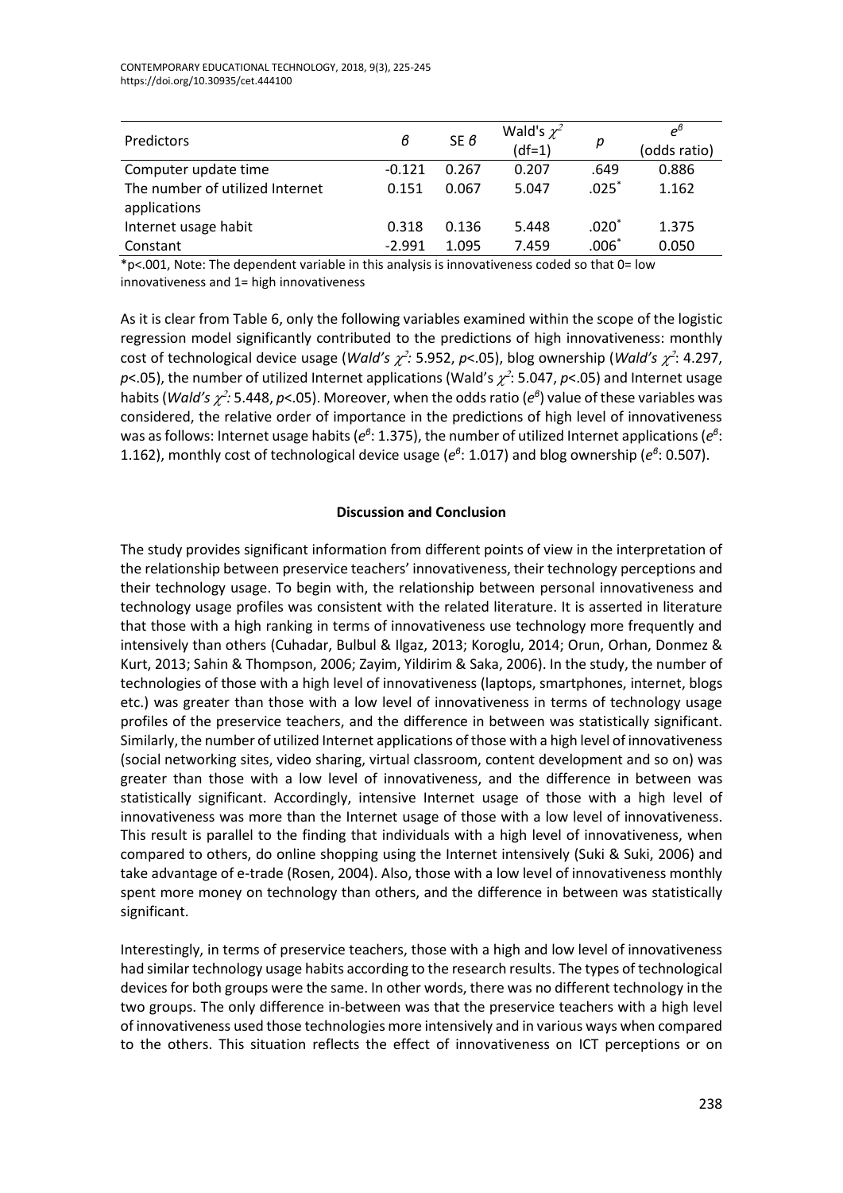| Predictors                                      | в        | SE $\theta$ | Wald's $\chi^2$<br>$(df=1)$ | р       | $e^{6}$<br>(odds ratio) |
|-------------------------------------------------|----------|-------------|-----------------------------|---------|-------------------------|
| Computer update time                            | $-0.121$ | 0.267       | 0.207                       | .649    | 0.886                   |
| The number of utilized Internet<br>applications | 0.151    | 0.067       | 5.047                       | $.025*$ | 1.162                   |
| Internet usage habit                            | 0.318    | 0.136       | 5.448                       | $.020*$ | 1.375                   |
| Constant                                        | $-2.991$ | 1.095       | 7.459                       | $.006*$ | 0.050                   |

\*p<.001, Note: The dependent variable in this analysis is innovativeness coded so that 0= low innovativeness and 1= high innovativeness

As it is clear from Table 6, only the following variables examined within the scope of the logistic regression model significantly contributed to the predictions of high innovativeness: monthly cost of technological device usage (*Wald's*  $\chi^2$ *:* 5.952, p<.05), blog ownership (*Wald's*  $\chi^2$ : 4.297,  $p$ <.05), the number of utilized Internet applications (Wald's  $\chi^2$ : 5.047,  $p$ <.05) and Internet usage habits (*Wald's*  $\chi^2$ *:* 5.448, *p*<.05). Moreover, when the odds ratio ( $e^{\theta}$ ) value of these variables was considered, the relative order of importance in the predictions of high level of innovativeness was as follows: Internet usage habits ( $e^{\theta}$ : 1.375), the number of utilized Internet applications ( $e^{\theta}$ : 1.162), monthly cost of technological device usage ( $e^{\theta}$ : 1.017) and blog ownership ( $e^{\theta}$ : 0.507).

# **Discussion and Conclusion**

The study provides significant information from different points of view in the interpretation of the relationship between preservice teachers' innovativeness, their technology perceptions and their technology usage. To begin with, the relationship between personal innovativeness and technology usage profiles was consistent with the related literature. It is asserted in literature that those with a high ranking in terms of innovativeness use technology more frequently and intensively than others (Cuhadar, Bulbul & Ilgaz, 2013; Koroglu, 2014; Orun, Orhan, Donmez & Kurt, 2013; Sahin & Thompson, 2006; Zayim, Yildirim & Saka, 2006). In the study, the number of technologies of those with a high level of innovativeness (laptops, smartphones, internet, blogs etc.) was greater than those with a low level of innovativeness in terms of technology usage profiles of the preservice teachers, and the difference in between was statistically significant. Similarly, the number of utilized Internet applications of those with a high level of innovativeness (social networking sites, video sharing, virtual classroom, content development and so on) was greater than those with a low level of innovativeness, and the difference in between was statistically significant. Accordingly, intensive Internet usage of those with a high level of innovativeness was more than the Internet usage of those with a low level of innovativeness. This result is parallel to the finding that individuals with a high level of innovativeness, when compared to others, do online shopping using the Internet intensively (Suki & Suki, 2006) and take advantage of e-trade (Rosen, 2004). Also, those with a low level of innovativeness monthly spent more money on technology than others, and the difference in between was statistically significant.

Interestingly, in terms of preservice teachers, those with a high and low level of innovativeness had similar technology usage habits according to the research results. The types of technological devices for both groups were the same. In other words, there was no different technology in the two groups. The only difference in-between was that the preservice teachers with a high level of innovativeness used those technologies more intensively and in various ways when compared to the others. This situation reflects the effect of innovativeness on ICT perceptions or on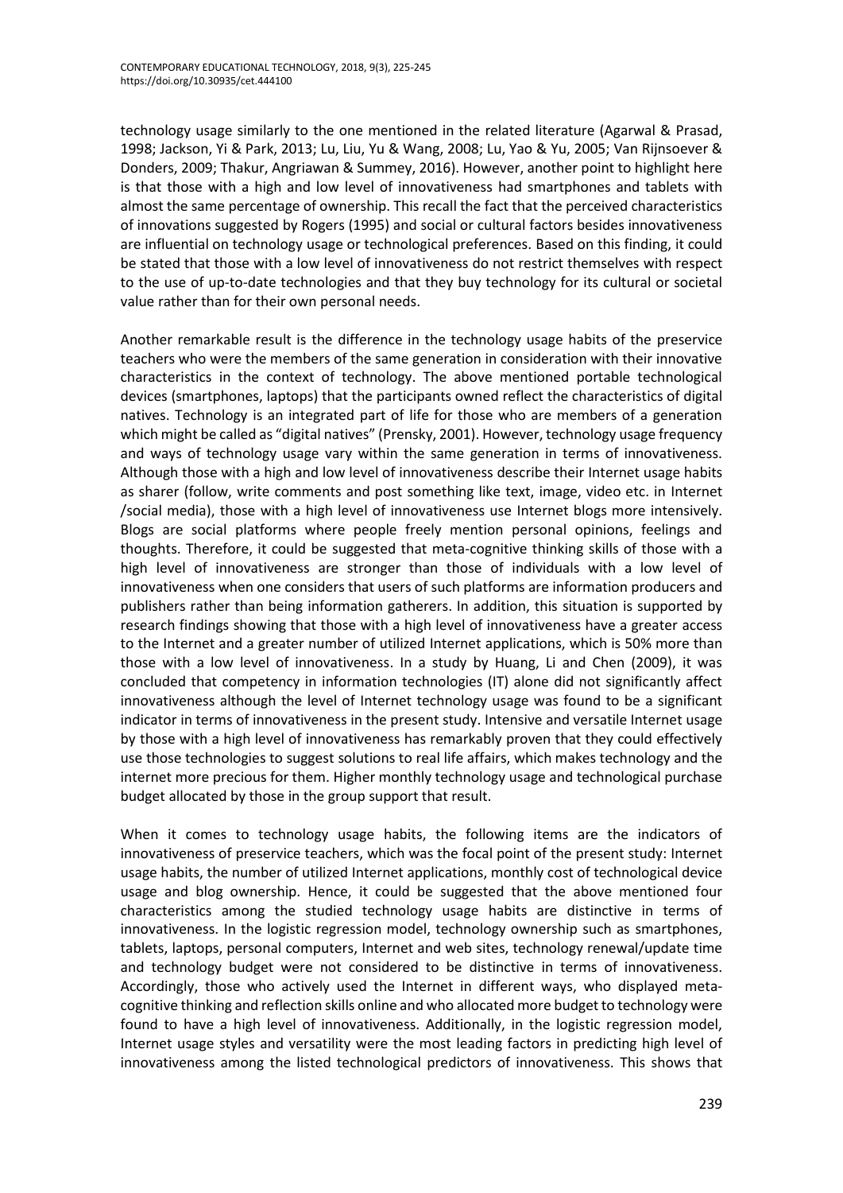technology usage similarly to the one mentioned in the related literature (Agarwal & Prasad, 1998; Jackson, Yi & Park, 2013; Lu, Liu, Yu & Wang, 2008; Lu, Yao & Yu, 2005; Van Rijnsoever & Donders, 2009; Thakur, Angriawan & Summey, 2016). However, another point to highlight here is that those with a high and low level of innovativeness had smartphones and tablets with almost the same percentage of ownership. This recall the fact that the perceived characteristics of innovations suggested by Rogers (1995) and social or cultural factors besides innovativeness are influential on technology usage or technological preferences. Based on this finding, it could be stated that those with a low level of innovativeness do not restrict themselves with respect to the use of up-to-date technologies and that they buy technology for its cultural or societal value rather than for their own personal needs.

Another remarkable result is the difference in the technology usage habits of the preservice teachers who were the members of the same generation in consideration with their innovative characteristics in the context of technology. The above mentioned portable technological devices (smartphones, laptops) that the participants owned reflect the characteristics of digital natives. Technology is an integrated part of life for those who are members of a generation which might be called as "digital natives" (Prensky, 2001). However, technology usage frequency and ways of technology usage vary within the same generation in terms of innovativeness. Although those with a high and low level of innovativeness describe their Internet usage habits as sharer (follow, write comments and post something like text, image, video etc. in Internet /social media), those with a high level of innovativeness use Internet blogs more intensively. Blogs are social platforms where people freely mention personal opinions, feelings and thoughts. Therefore, it could be suggested that meta-cognitive thinking skills of those with a high level of innovativeness are stronger than those of individuals with a low level of innovativeness when one considers that users of such platforms are information producers and publishers rather than being information gatherers. In addition, this situation is supported by research findings showing that those with a high level of innovativeness have a greater access to the Internet and a greater number of utilized Internet applications, which is 50% more than those with a low level of innovativeness. In a study by Huang, Li and Chen (2009), it was concluded that competency in information technologies (IT) alone did not significantly affect innovativeness although the level of Internet technology usage was found to be a significant indicator in terms of innovativeness in the present study. Intensive and versatile Internet usage by those with a high level of innovativeness has remarkably proven that they could effectively use those technologies to suggest solutions to real life affairs, which makes technology and the internet more precious for them. Higher monthly technology usage and technological purchase budget allocated by those in the group support that result.

When it comes to technology usage habits, the following items are the indicators of innovativeness of preservice teachers, which was the focal point of the present study: Internet usage habits, the number of utilized Internet applications, monthly cost of technological device usage and blog ownership. Hence, it could be suggested that the above mentioned four characteristics among the studied technology usage habits are distinctive in terms of innovativeness. In the logistic regression model, technology ownership such as smartphones, tablets, laptops, personal computers, Internet and web sites, technology renewal/update time and technology budget were not considered to be distinctive in terms of innovativeness. Accordingly, those who actively used the Internet in different ways, who displayed metacognitive thinking and reflection skills online and who allocated more budget to technology were found to have a high level of innovativeness. Additionally, in the logistic regression model, Internet usage styles and versatility were the most leading factors in predicting high level of innovativeness among the listed technological predictors of innovativeness. This shows that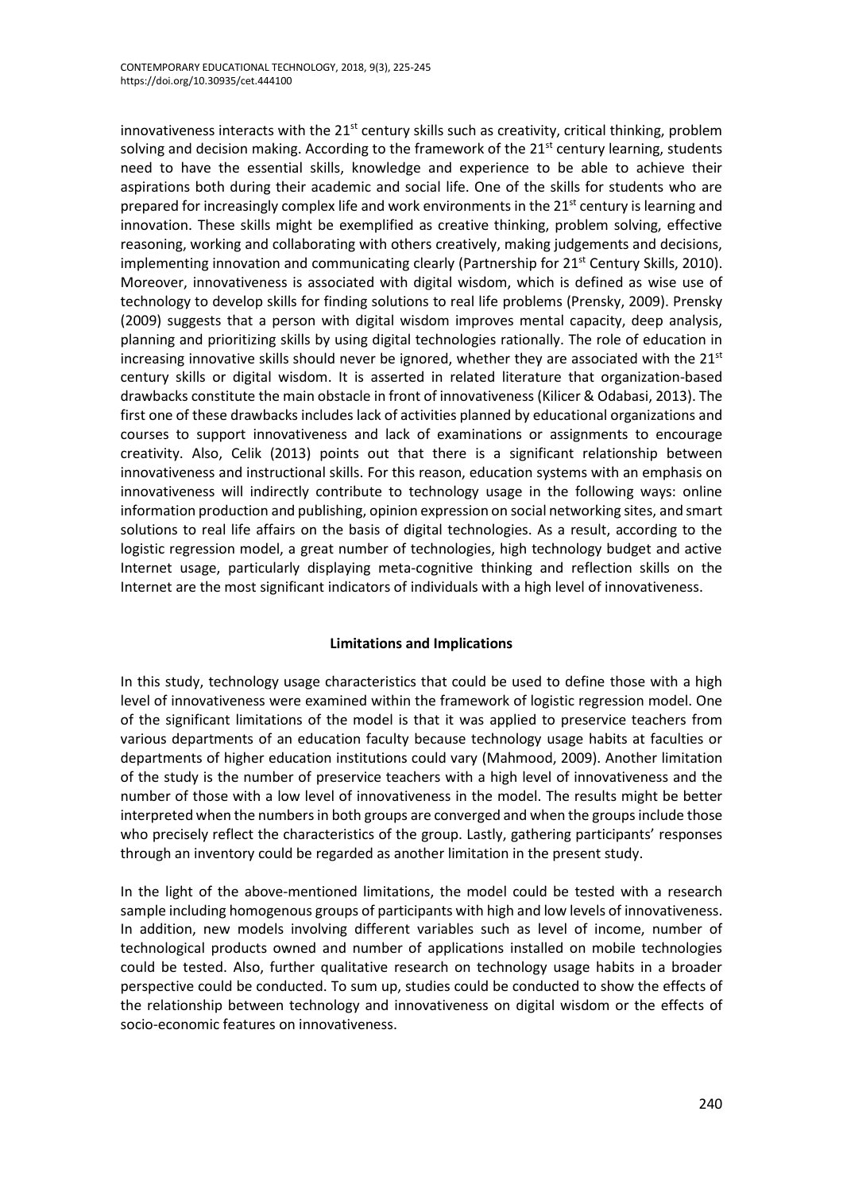innovativeness interacts with the  $21<sup>st</sup>$  century skills such as creativity, critical thinking, problem solving and decision making. According to the framework of the  $21<sup>st</sup>$  century learning, students need to have the essential skills, knowledge and experience to be able to achieve their aspirations both during their academic and social life. One of the skills for students who are prepared for increasingly complex life and work environments in the  $21<sup>st</sup>$  century is learning and innovation. These skills might be exemplified as creative thinking, problem solving, effective reasoning, working and collaborating with others creatively, making judgements and decisions, implementing innovation and communicating clearly (Partnership for  $21<sup>st</sup>$  Century Skills, 2010). Moreover, innovativeness is associated with digital wisdom, which is defined as wise use of technology to develop skills for finding solutions to real life problems (Prensky, 2009). Prensky (2009) suggests that a person with digital wisdom improves mental capacity, deep analysis, planning and prioritizing skills by using digital technologies rationally. The role of education in increasing innovative skills should never be ignored, whether they are associated with the  $21<sup>st</sup>$ century skills or digital wisdom. It is asserted in related literature that organization-based drawbacks constitute the main obstacle in front of innovativeness (Kilicer & Odabasi, 2013). The first one of these drawbacks includes lack of activities planned by educational organizations and courses to support innovativeness and lack of examinations or assignments to encourage creativity. Also, Celik (2013) points out that there is a significant relationship between innovativeness and instructional skills. For this reason, education systems with an emphasis on innovativeness will indirectly contribute to technology usage in the following ways: online information production and publishing, opinion expression on social networking sites, and smart solutions to real life affairs on the basis of digital technologies. As a result, according to the logistic regression model, a great number of technologies, high technology budget and active Internet usage, particularly displaying meta-cognitive thinking and reflection skills on the Internet are the most significant indicators of individuals with a high level of innovativeness.

# **Limitations and Implications**

In this study, technology usage characteristics that could be used to define those with a high level of innovativeness were examined within the framework of logistic regression model. One of the significant limitations of the model is that it was applied to preservice teachers from various departments of an education faculty because technology usage habits at faculties or departments of higher education institutions could vary (Mahmood, 2009). Another limitation of the study is the number of preservice teachers with a high level of innovativeness and the number of those with a low level of innovativeness in the model. The results might be better interpreted when the numbers in both groups are converged and when the groups include those who precisely reflect the characteristics of the group. Lastly, gathering participants' responses through an inventory could be regarded as another limitation in the present study.

In the light of the above-mentioned limitations, the model could be tested with a research sample including homogenous groups of participants with high and low levels of innovativeness. In addition, new models involving different variables such as level of income, number of technological products owned and number of applications installed on mobile technologies could be tested. Also, further qualitative research on technology usage habits in a broader perspective could be conducted. To sum up, studies could be conducted to show the effects of the relationship between technology and innovativeness on digital wisdom or the effects of socio-economic features on innovativeness.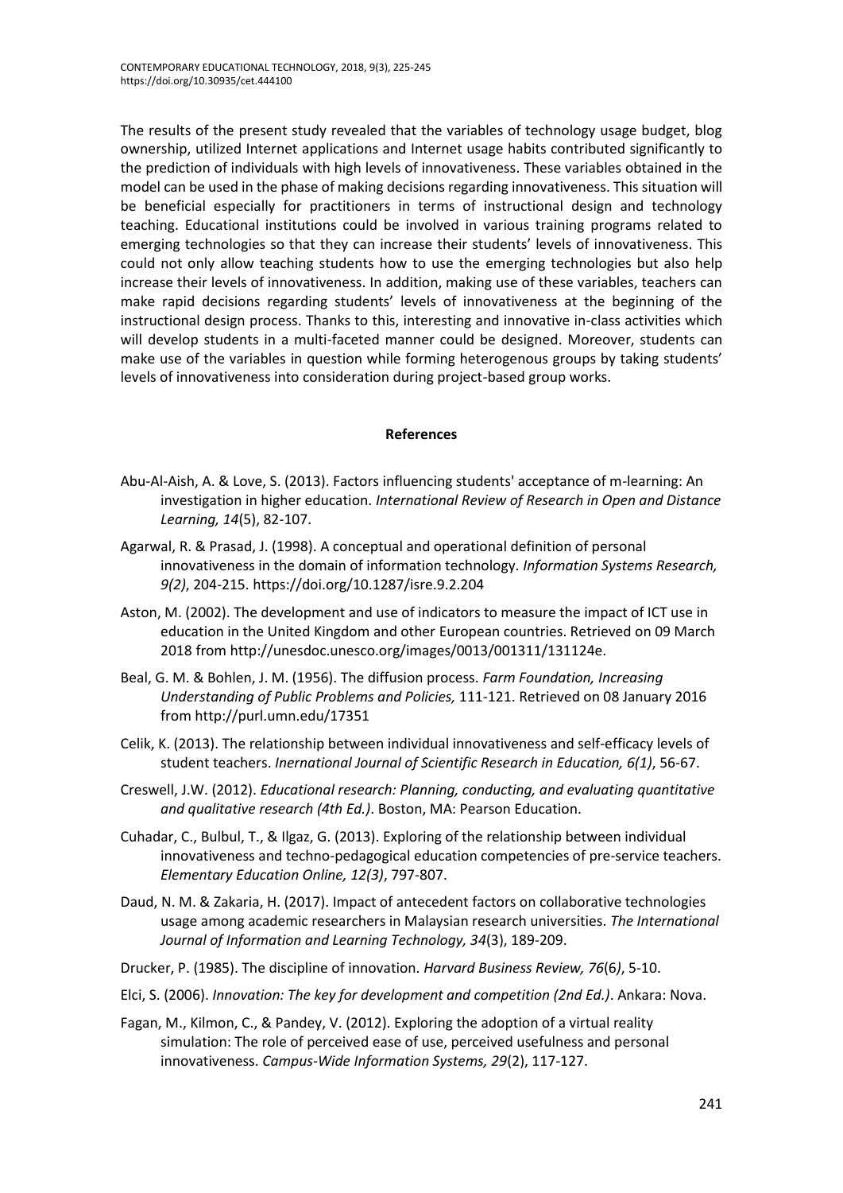The results of the present study revealed that the variables of technology usage budget, blog ownership, utilized Internet applications and Internet usage habits contributed significantly to the prediction of individuals with high levels of innovativeness. These variables obtained in the model can be used in the phase of making decisions regarding innovativeness. This situation will be beneficial especially for practitioners in terms of instructional design and technology teaching. Educational institutions could be involved in various training programs related to emerging technologies so that they can increase their students' levels of innovativeness. This could not only allow teaching students how to use the emerging technologies but also help increase their levels of innovativeness. In addition, making use of these variables, teachers can make rapid decisions regarding students' levels of innovativeness at the beginning of the instructional design process. Thanks to this, interesting and innovative in-class activities which will develop students in a multi-faceted manner could be designed. Moreover, students can make use of the variables in question while forming heterogenous groups by taking students' levels of innovativeness into consideration during project-based group works.

### **References**

- Abu-Al-Aish, A. & Love, S. (2013). Factors influencing students' acceptance of m-learning: An investigation in higher education. *International Review of Research in Open and Distance Learning, 14*(5), 82-107.
- Agarwal, R. & Prasad, J. (1998). A conceptual and operational definition of personal innovativeness in the domain of information technology. *Information Systems Research, 9(2)*, 204-215. [https://doi.org/10.1287/isre.9.2.204](https://doi.org/%7B0%7D)
- Aston, M. (2002). The development and use of indicators to measure the impact of ICT use in education in the United Kingdom and other European countries. Retrieved on 09 March 2018 from http://unesdoc.unesco.org/images/0013/001311/131124e.
- Beal, G. M. & Bohlen, J. M. (1956). The diffusion process. *Farm Foundation, Increasing Understanding of Public Problems and Policies,* 111-121. Retrieved on 08 January 2016 from http://purl.umn.edu/17351
- Celik, K. (2013). The relationship between individual innovativeness and self-efficacy levels of student teachers. *Inernational Journal of Scientific Research in Education, 6(1)*, 56-67.
- Creswell, J.W. (2012). *Educational research: Planning, conducting, and evaluating quantitative and qualitative research (4th Ed.)*. Boston, MA: Pearson Education.
- Cuhadar, C., Bulbul, T., & Ilgaz, G. (2013). Exploring of the relationship between individual innovativeness and techno-pedagogical education competencies of pre-service teachers. *Elementary Education Online, 12(3)*, 797-807.
- Daud, N. M. & Zakaria, H. (2017). Impact of antecedent factors on collaborative technologies usage among academic researchers in Malaysian research universities. *The International Journal of Information and Learning Technology, 34*(3), 189-209.
- Drucker, P. (1985). The discipline of innovation. *Harvard Business Review, 76*(6*)*, 5-10.
- Elci, S. (2006). *Innovation: The key for development and competition (2nd Ed.)*. Ankara: Nova.
- Fagan, M., Kilmon, C., & Pandey, V. (2012). Exploring the adoption of a virtual reality simulation: The role of perceived ease of use, perceived usefulness and personal innovativeness. *Campus-Wide Information Systems, 29*(2), 117-127.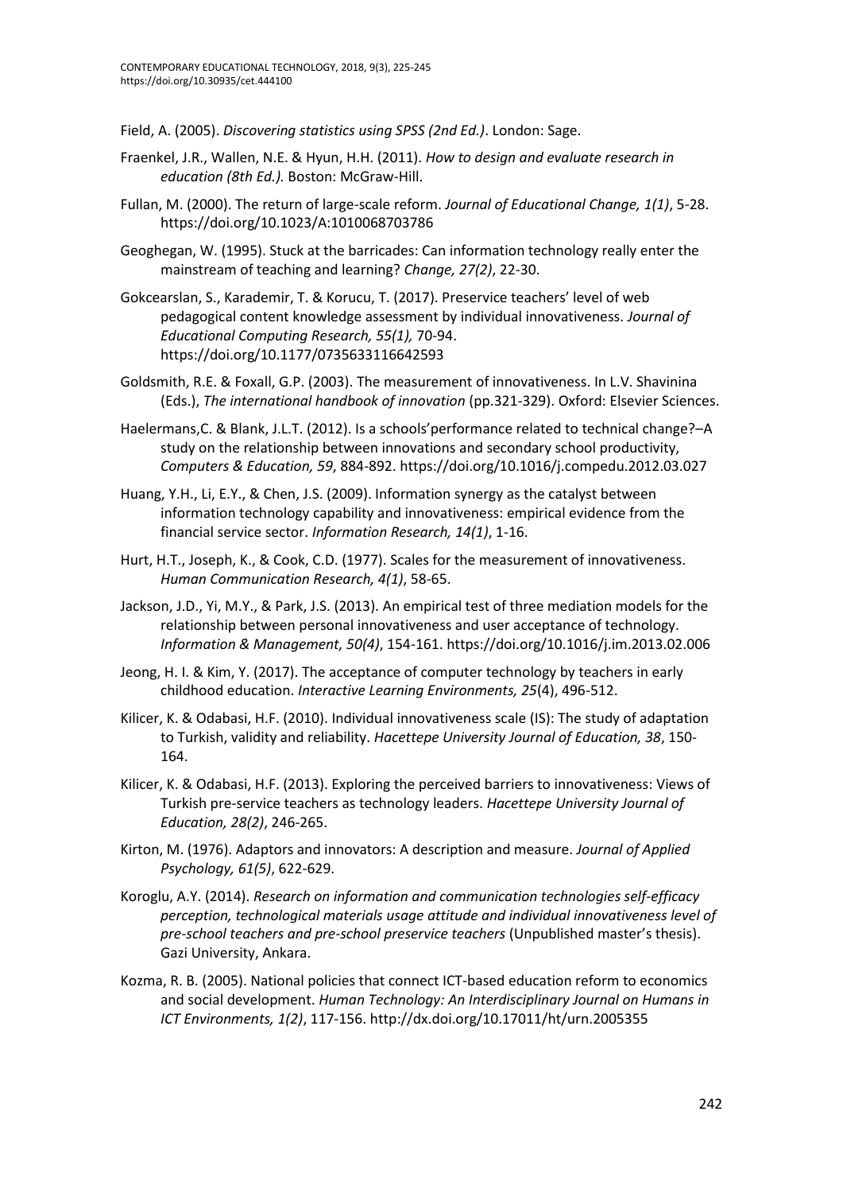Field, A. (2005). *Discovering statistics using SPSS (2nd Ed.)*. London: Sage.

- Fraenkel, J.R., Wallen, N.E. & Hyun, H.H. (2011). *How to design and evaluate research in education (8th Ed.).* Boston: McGraw-Hill.
- Fullan, M. (2000). The return of large-scale reform. *Journal of Educational Change, 1(1)*, 5-28. <https://doi.org/10.1023/A:1010068703786>
- Geoghegan, W. (1995). Stuck at the barricades: Can information technology really enter the mainstream of teaching and learning? *Change, 27(2)*, 22-30.
- Gokcearslan, S., Karademir, T. & Korucu, T. (2017). Preservice teachers' level of web pedagogical content knowledge assessment by individual innovativeness. *Journal of Educational Computing Research, 55(1),* 70-94. https://doi.org/10.1177/0735633116642593
- Goldsmith, R.E. & Foxall, G.P. (2003). The measurement of innovativeness. In L.V. Shavinina (Eds.), *The international handbook of innovation* (pp.321-329). Oxford: Elsevier Sciences.
- Haelermans,C. & Blank, J.L.T. (2012). Is a schools'performance related to technical change?–A study on the relationship between innovations and secondary school productivity, *Computers & Education, 59*, 884-892. <https://doi.org/10.1016/j.compedu.2012.03.027>
- Huang, Y.H., Li, E.Y., & Chen, J.S. (2009). Information synergy as the catalyst between information technology capability and innovativeness: empirical evidence from the financial service sector. *Information Research, 14(1)*, 1-16.
- Hurt, H.T., Joseph, K., & Cook, C.D. (1977). Scales for the measurement of innovativeness. *Human Communication Research, 4(1)*, 58-65.
- Jackson, J.D., Yi, M.Y., & Park, J.S. (2013). An empirical test of three mediation models for the relationship between personal innovativeness and user acceptance of technology. *Information & Management, 50(4)*, 154-161[. https://doi.org/10.1016/j.im.2013.02.006](https://doi.org/10.1016/j.im.2013.02.006)
- Jeong, H. I. & Kim, Y. (2017). The acceptance of computer technology by teachers in early childhood education. *Interactive Learning Environments, 25*(4), 496-512.
- Kilicer, K. & Odabasi, H.F. (2010). Individual innovativeness scale (IS): The study of adaptation to Turkish, validity and reliability. *Hacettepe University Journal of Education, 38*, 150- 164.
- Kilicer, K. & Odabasi, H.F. (2013). Exploring the perceived barriers to innovativeness: Views of Turkish pre-service teachers as technology leaders. *Hacettepe University Journal of Education, 28(2)*, 246-265.
- Kirton, M. (1976). Adaptors and innovators: A description and measure. *Journal of Applied Psychology, 61(5)*, 622-629.
- Koroglu, A.Y. (2014). *Research on information and communication technologies self-efficacy perception, technological materials usage attitude and individual innovativeness level of pre-school teachers and pre-school preservice teachers* (Unpublished master's thesis). Gazi University, Ankara.
- Kozma, R. B. (2005). National policies that connect ICT-based education reform to economics and social development. *Human Technology: An Interdisciplinary Journal on Humans in ICT Environments, 1(2)*, 117-156.<http://dx.doi.org/10.17011/ht/urn.2005355>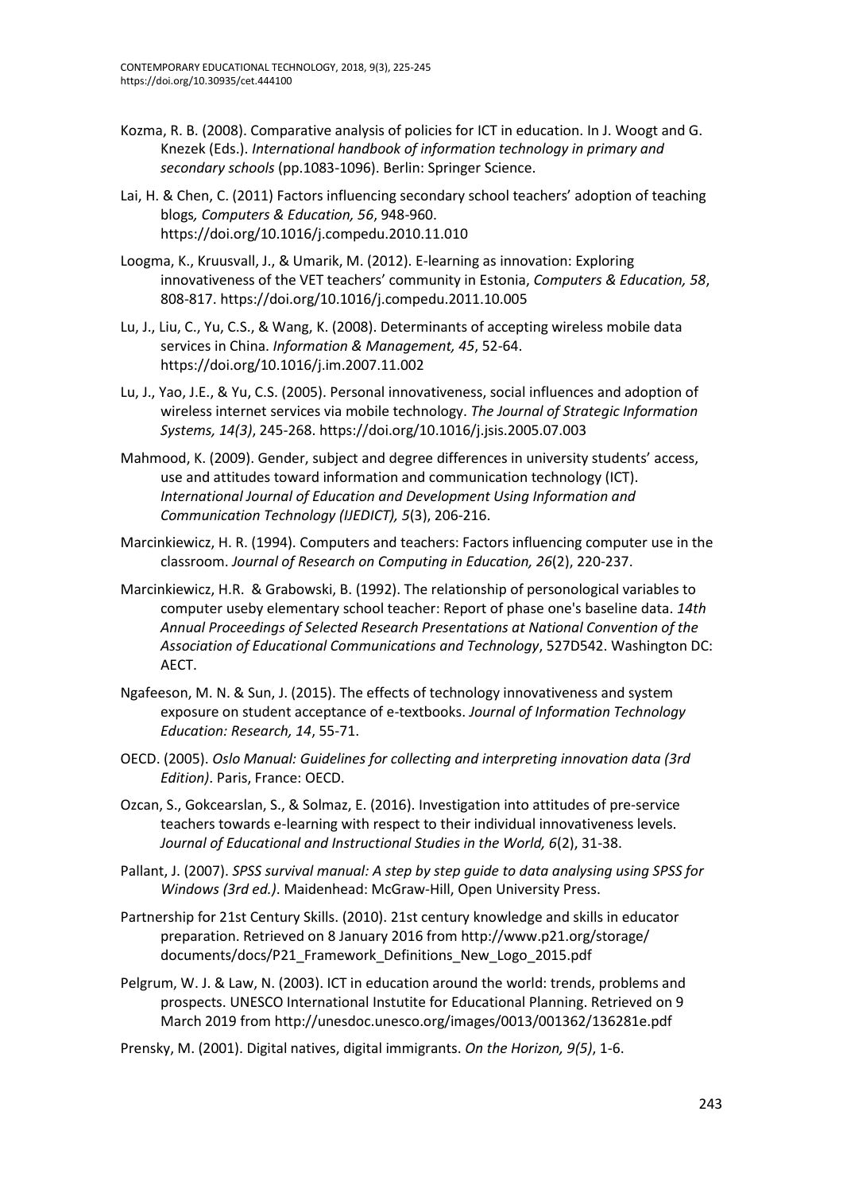- Kozma, R. B. (2008). Comparative analysis of policies for ICT in education. In J. Woogt and G. Knezek (Eds.). *International handbook of information technology in primary and secondary schools* (pp.1083-1096). Berlin: Springer Science.
- Lai, H. & Chen, C. (2011) Factors influencing secondary school teachers' adoption of teaching blogs*, Computers & Education, 56*, 948-960. https://doi.org/10.1016/j.compedu.2010.11.010
- Loogma, K., Kruusvall, J., & Umarik, M. (2012). E-learning as innovation: Exploring innovativeness of the VET teachers' community in Estonia, *Computers & Education, 58*, 808-817. <https://doi.org/10.1016/j.compedu.2011.10.005>
- Lu, J., Liu, C., Yu, C.S., & Wang, K. (2008). Determinants of accepting wireless mobile data services in China. *Information & Management, 45*, 52-64. <https://doi.org/10.1016/j.im.2007.11.002>
- Lu, J., Yao, J.E., & Yu, C.S. (2005). Personal innovativeness, social influences and adoption of wireless internet services via mobile technology. *The Journal of Strategic Information Systems, 14(3)*, 245-268. <https://doi.org/10.1016/j.jsis.2005.07.003>
- Mahmood, K. (2009). Gender, subject and degree differences in university students' access, use and attitudes toward information and communication technology (ICT). *International Journal of Education and Development Using Information and Communication Technology (IJEDICT), 5*(3), 206-216.
- Marcinkiewicz, H. R. (1994). Computers and teachers: Factors influencing computer use in the classroom. *Journal of Research on Computing in Education, 26*(2), 220-237.
- Marcinkiewicz, H.R. & Grabowski, B. (1992). The relationship of personological variables to computer useby elementary school teacher: Report of phase one's baseline data. *14th Annual Proceedings of Selected Research Presentations at National Convention of the Association of Educational Communications and Technology*, 527D542. Washington DC: AECT.
- Ngafeeson, M. N. & Sun, J. (2015). The effects of technology innovativeness and system exposure on student acceptance of e-textbooks. *Journal of Information Technology Education: Research, 14*, 55-71.
- OECD. (2005). *Oslo Manual: Guidelines for collecting and interpreting innovation data (3rd Edition)*. Paris, France: OECD.
- Ozcan, S., Gokcearslan, S., & Solmaz, E. (2016). Investigation into attitudes of pre-service teachers towards e-learning with respect to their individual innovativeness levels. *Journal of Educational and Instructional Studies in the World, 6*(2), 31-38.
- Pallant, J. (2007). *SPSS survival manual: A step by step guide to data analysing using SPSS for Windows (3rd ed.)*. Maidenhead: McGraw-Hill, Open University Press.
- Partnership for 21st Century Skills. (2010). 21st century knowledge and skills in educator preparation. Retrieved on 8 January 2016 fro[m http://www.p21.org/storage/](http://www.p21.org/storage/%20documents/)  [documents/d](http://www.p21.org/storage/%20documents/)ocs/P21\_Framework\_Definitions\_New\_Logo\_2015.pdf
- Pelgrum, W. J. & Law, N. (2003). ICT in education around the world: trends, problems and prospects. UNESCO International Instutite for Educational Planning. Retrieved on 9 March 2019 from http://unesdoc.unesco.org/images/0013/001362/136281e.pdf
- Prensky, M. (2001). Digital natives, digital immigrants. *On the Horizon, 9(5)*, 1-6.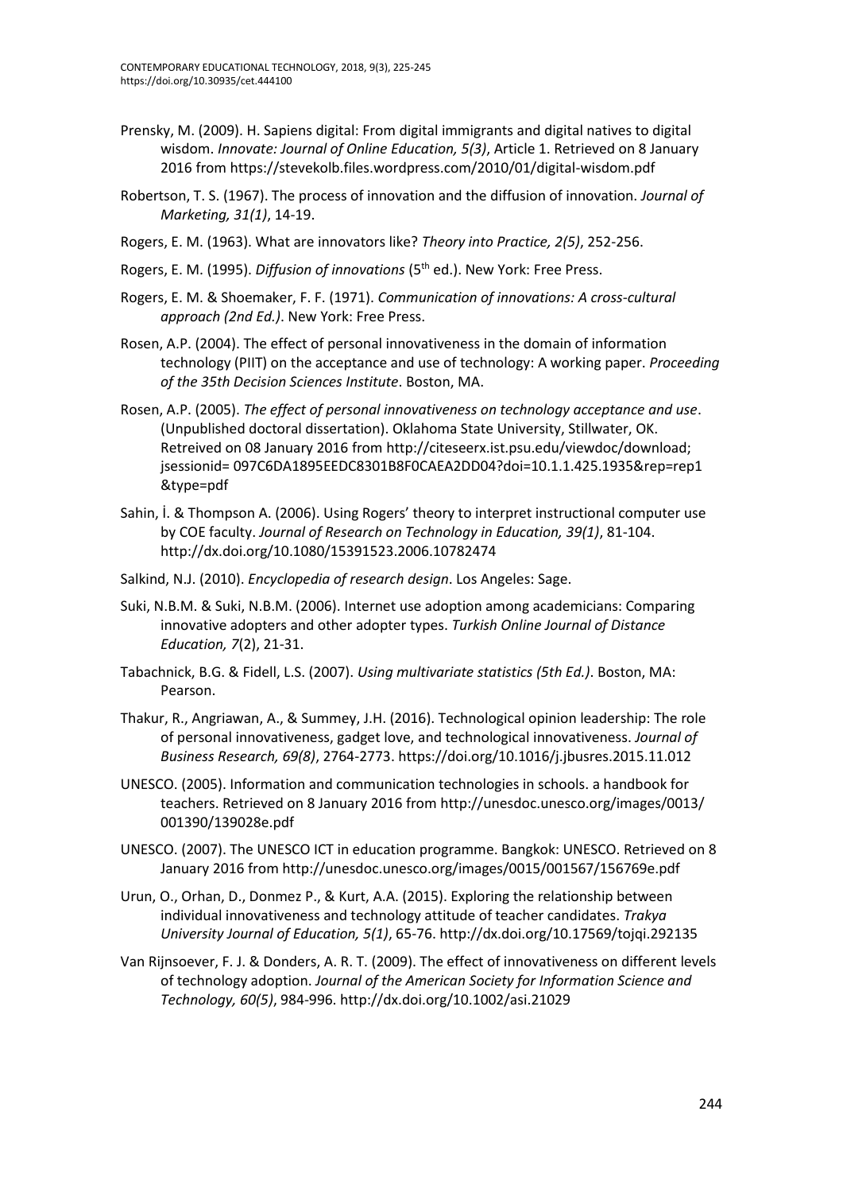- Prensky, M. (2009). H. Sapiens digital: From digital immigrants and digital natives to digital wisdom. *Innovate: Journal of Online Education, 5(3)*, Article 1. Retrieved on 8 January 2016 from https://stevekolb.files.wordpress.com/2010/01/digital-wisdom.pdf
- Robertson, T. S. (1967). The process of innovation and the diffusion of innovation. *Journal of Marketing, 31(1)*, 14-19.
- Rogers, E. M. (1963). What are innovators like? *Theory into Practice, 2(5)*, 252-256.
- Rogers, E. M. (1995). *Diffusion of innovations* (5th ed.). New York: Free Press.
- Rogers, E. M. & Shoemaker, F. F. (1971). *Communication of innovations: A cross-cultural approach (2nd Ed.)*. New York: Free Press.
- Rosen, A.P. (2004). The effect of personal innovativeness in the domain of information technology (PIIT) on the acceptance and use of technology: A working paper. *Proceeding of the 35th Decision Sciences Institute*. Boston, MA.
- Rosen, A.P. (2005). *The effect of personal innovativeness on technology acceptance and use*. (Unpublished doctoral dissertation). Oklahoma State University, Stillwater, OK. Retreived on 08 January 2016 fro[m http://citeseerx.ist.psu.edu/viewdoc/download;](http://citeseerx.ist.psu.edu/viewdoc/download;%20jsessionid)  [jsessionid=](http://citeseerx.ist.psu.edu/viewdoc/download;%20jsessionid) 097C6DA1895EEDC8301B8F0CAEA2DD04?doi=10.1.1.425.1935&rep=rep1 &type=pdf
- Sahin, İ. & Thompson A. (2006). Using Rogers' theory to interpret instructional computer use by COE faculty. *Journal of Research on Technology in Education, 39(1)*, 81-104. <http://dx.doi.org/10.1080/15391523.2006.10782474>
- Salkind, N.J. (2010). *Encyclopedia of research design*. Los Angeles: Sage.
- Suki, N.B.M. & Suki, N.B.M. (2006). Internet use adoption among academicians: Comparing innovative adopters and other adopter types. *Turkish Online Journal of Distance Education, 7*(2), 21-31.
- Tabachnick, B.G. & Fidell, L.S. (2007). *Using multivariate statistics (5th Ed.)*. Boston, MA: Pearson.
- Thakur, R., Angriawan, A., & Summey, J.H. (2016). Technological opinion leadership: The role of personal innovativeness, gadget love, and technological innovativeness. *Journal of Business Research, 69(8)*, 2764-2773. <https://doi.org/10.1016/j.jbusres.2015.11.012>
- UNESCO. (2005). Information and communication technologies in schools. a handbook for teachers. Retrieved on 8 January 2016 from<http://unesdoc.unesco.org/images/0013/> 001390/139028e.pdf
- UNESCO. (2007). The UNESCO ICT in education programme. Bangkok: UNESCO. Retrieved on 8 January 2016 from<http://unesdoc.unesco.org/images/0015/001567/156769e.pdf>
- Urun, O., Orhan, D., Donmez P., & Kurt, A.A. (2015). Exploring the relationship between individual innovativeness and technology attitude of teacher candidates. *Trakya University Journal of Education, 5(1)*, 65-76[. http://dx.doi.org/10.17569/tojqi.292135](http://dx.doi.org/10.17569/tojqi.292135)
- Van Rijnsoever, F. J. & Donders, A. R. T. (2009). The effect of innovativeness on different levels of technology adoption. *Journal of the American Society for Information Science and Technology, 60(5)*, 984-996. <http://dx.doi.org/10.1002/asi.21029>